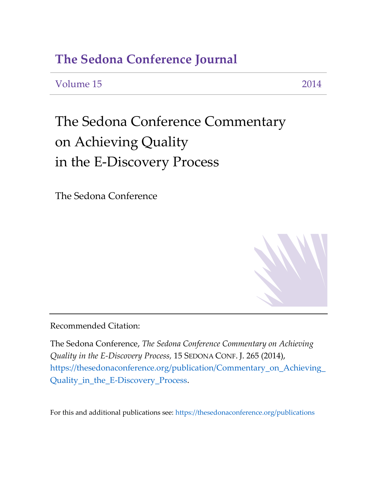### **The Sedona Conference Journal**

Volume 15 2014

# The Sedona Conference Commentary on Achieving Quality in the E-Discovery Process

The Sedona Conference

Recommended Citation:

The Sedona Conference, *The Sedona Conference Commentary on Achieving Quality in the E-Discovery Process,* 15 SEDONA CONF. J. 265 (2014), https://thesedonaconference.org/publication/Commentary\_on\_Achieving\_ Quality\_in\_the\_E-Discovery\_Process.

For this and additional publications see:<https://thesedonaconference.org/publications>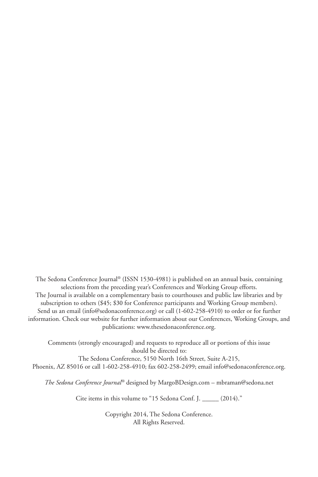The Sedona Conference Journal® (ISSN 1530-4981) is published on an annual basis, containing selections from the preceding year's Conferences and Working Group efforts. The Journal is available on a complementary basis to courthouses and public law libraries and by subscription to others (\$45; \$30 for Conference participants and Working Group members). Send us an email (info@sedonaconference.org) or call (1-602-258-4910) to order or for further information. Check our website for further information about our Conferences, Working Groups, and publications: www.thesedonaconference.org.

Comments (strongly encouraged) and requests to reproduce all or portions of this issue should be directed to:

The Sedona Conference, 5150 North 16th Street, Suite A-215, Phoenix, AZ 85016 or call 1-602-258-4910; fax 602-258-2499; email info@sedonaconference.org.

*The Sedona Conference Journal®* designed by MargoBDesign.com – mbraman@sedona.net

Cite items in this volume to "15 Sedona Conf. J. \_\_\_\_\_ (2014)."

Copyright 2014, The Sedona Conference. All Rights Reserved.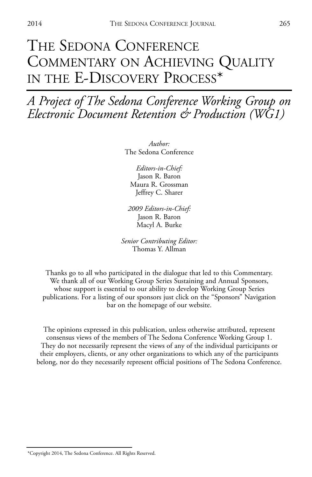## THE SEDONA CONFERENCE COMMENTARY ON ACHIEVING QUALITY IN THE E-DISCOVERY PROCESS\*

*A Project of The Sedona Conference Working Group on Electronic Document Retention & Production (WG1)*

> *Author:* The Sedona Conference

*Editors-in-Chief:* Jason R. Baron Maura R. Grossman Jeffrey C. Sharer

*2009 Editors-in-Chief:* Jason R. Baron Macyl A. Burke

*Senior Contributing Editor:* Thomas Y. Allman

Thanks go to all who participated in the dialogue that led to this Commentary. We thank all of our Working Group Series Sustaining and Annual Sponsors, whose support is essential to our ability to develop Working Group Series publications. For a listing of our sponsors just click on the "Sponsors" Navigation bar on the homepage of our website.

The opinions expressed in this publication, unless otherwise attributed, represent consensus views of the members of The Sedona Conference Working Group 1. They do not necessarily represent the views of any of the individual participants or their employers, clients, or any other organizations to which any of the participants belong, nor do they necessarily represent official positions of The Sedona Conference.

<sup>\*</sup>Copyright 2014, The Sedona Conference. All Rights Reserved.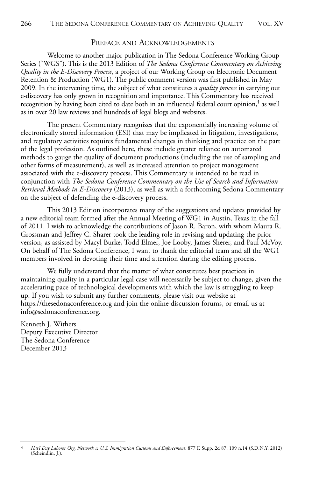#### PREFACE AND ACKNOWLEDGEMENTS

Welcome to another major publication in The Sedona Conference Working Group Series ("WGS"). This is the 2013 Edition of *The Sedona Conference Commentary on Achieving Quality in the E-Discovery Process*, a project of our Working Group on Electronic Document Retention & Production (WG1). The public comment version was first published in May 2009. In the intervening time, the subject of what constitutes a *quality process* in carrying out e-discovery has only grown in recognition and importance. This Commentary has received recognition by having been cited to date both in an influential federal court opinion,**†** as well as in over 20 law reviews and hundreds of legal blogs and websites.

The present Commentary recognizes that the exponentially increasing volume of electronically stored information (ESI) that may be implicated in litigation, investigations, and regulatory activities requires fundamental changes in thinking and practice on the part of the legal profession. As outlined here, these include greater reliance on automated methods to gauge the quality of document productions (including the use of sampling and other forms of measurement), as well as increased attention to project management associated with the e-discovery process. This Commentary is intended to be read in conjunction with *The Sedona Conference Commentary on the Use of Search and Information Retrieval Methods in E-Discovery* (2013), as well as with a forthcoming Sedona Commentary on the subject of defending the e-discovery process.

This 2013 Edition incorporates many of the suggestions and updates provided by a new editorial team formed after the Annual Meeting of WG1 in Austin, Texas in the fall of 2011. I wish to acknowledge the contributions of Jason R. Baron, with whom Maura R. Grossman and Jeffrey C. Sharer took the leading role in revising and updating the prior version, as assisted by Macyl Burke, Todd Elmer, Joe Looby, James Sherer, and Paul McVoy. On behalf of The Sedona Conference, I want to thank the editorial team and all the WG1 members involved in devoting their time and attention during the editing process.

We fully understand that the matter of what constitutes best practices in maintaining quality in a particular legal case will necessarily be subject to change, given the accelerating pace of technological developments with which the law is struggling to keep up. If you wish to submit any further comments, please visit our website at https://thesedonaconference.org and join the online discussion forums, or email us at info@sedonaconference.org.

Kenneth J. Withers Deputy Executive Director The Sedona Conference December 2013

<sup>†</sup> *Nat'l Day Laborer Org. Network v. U.S. Immigration Customs and Enforcement*, 877 F. Supp. 2d 87, 109 n.14 (S.D.N.Y. 2012) (Scheindlin, J.).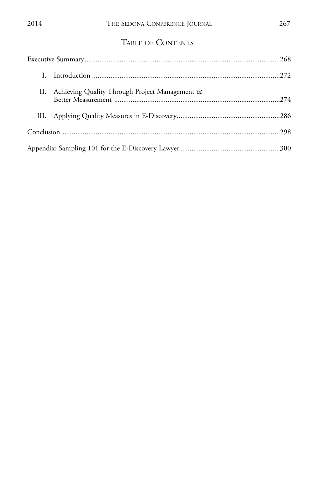|  | II. Achieving Quality Through Project Management & |  |
|--|----------------------------------------------------|--|
|  |                                                    |  |
|  |                                                    |  |
|  |                                                    |  |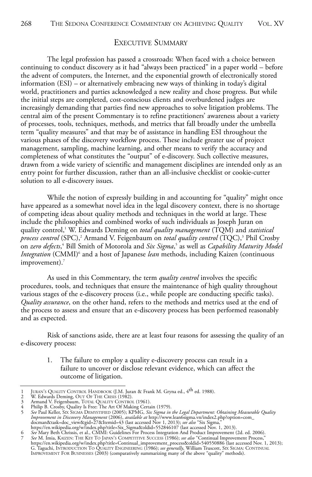#### EXECUTIVE SUMMARY

The legal profession has passed a crossroads: When faced with a choice between continuing to conduct discovery as it had "always been practiced" in a paper world – before the advent of computers, the Internet, and the exponential growth of electronically stored information (ESI) – or alternatively embracing new ways of thinking in today's digital world, practitioners and parties acknowledged a new reality and chose progress. But while the initial steps are completed, cost-conscious clients and overburdened judges are increasingly demanding that parties find new approaches to solve litigation problems. The central aim of the present Commentary is to refine practitioners' awareness about a variety of processes, tools, techniques, methods, and metrics that fall broadly under the umbrella term "quality measures" and that may be of assistance in handling ESI throughout the various phases of the discovery workflow process. These include greater use of project management, sampling, machine learning, and other means to verify the accuracy and completeness of what constitutes the "output" of e-discovery. Such collective measures, drawn from a wide variety of scientific and management disciplines are intended only as an entry point for further discussion, rather than an all-inclusive checklist or cookie-cutter solution to all e-discovery issues.

While the notion of expressly building in and accounting for "quality" might once have appeared as a somewhat novel idea in the legal discovery context, there is no shortage of competing ideas about quality methods and techniques in the world at large. These include the philosophies and combined works of such individuals as Joseph Juran on quality control,1 W. Edwards Deming on *total quality management* (TQM) and *statistical process control* (SPC),<sup>2</sup> Armand V. Feigenbaum on *total quality control* (TQC),<sup>3</sup> Phil Crosby on *zero defects*, <sup>4</sup> Bill Smith of Motorola and *Six Sigma*, <sup>5</sup> as well as *Capability Maturity Model* Integration (CMMI)<sup>6</sup> and a host of Japanese *lean* methods, including Kaizen (continuous improvement).<sup>7</sup>

As used in this Commentary, the term *quality control* involves the specific procedures, tools, and techniques that ensure the maintenance of high quality throughout various stages of the e-discovery process (i.e., while people are conducting specific tasks). *Quality assurance*, on the other hand, refers to the methods and metrics used at the end of the process to assess and ensure that an e-discovery process has been performed reasonably and as expected.

Risk of sanctions aside, there are at least four reasons for assessing the quality of an e-discovery process:

1. The failure to employ a quality e-discovery process can result in a failure to uncover or disclose relevant evidence, which can affect the outcome of litigation.

<sup>1</sup> JURAN'S QUALITY CONTROL HANDBOOK (J.M. Juran & Frank M. Gryna ed., 4th ed. 1988). 2 W. Edwards Deming, OUT OF THE CRISIS (1982).

<sup>3 –</sup> Armand V. Feigenbäum, TOTAL QUALITY CONTROL (1961).<br>4 – Philip B. Crosby, Quality Is Free: The Art Of Making Certain (1979).<br>5 – *See* Paul Keller, Six SiGMA DEMYSTIFIED (2005); KPMG, *Six Sigma in the Legal Department Improvement in Discovery Management* (2006), *available at* http://www.lean6sigma.vn/index2.php?option=com\_<br>docman&task=doc\_view&cgid=27&tIemid=43 (last accessed Nov 1, 2013); *see also "*Six Sigma,"<br>https://en.wikipedia.

<sup>6</sup> *See* Mary Beth Chrissis, et al., CMMI: Guidelines For Process Integration And Product Improvement (2d. ed. 2006).<br>7 *See M.* Imia, KAIZEN: THE KEY TO JAPAN's COMPETITIVE SUCCESS (1986); *see also "*Continual Imp G. Taguchi, INTRODUCTION TO QUALITY ENGINEERING (1986); *see generally*, William Truscott, SIX SIGMA: CONTINUAL<br>IMPROVEMENT FOR BUSINESSES (2003) (comparatively summarizing many of the above "quality" methods).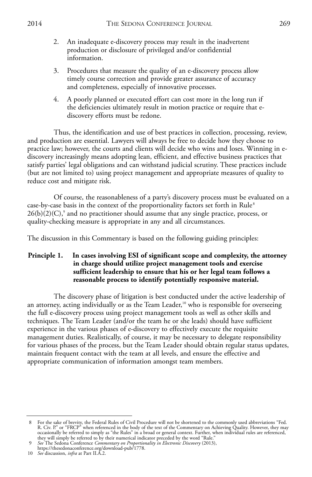- 2. An inadequate e-discovery process may result in the inadvertent production or disclosure of privileged and/or confidential information.
- 3. Procedures that measure the quality of an e-discovery process allow timely course correction and provide greater assurance of accuracy and completeness, especially of innovative processes.
- 4. A poorly planned or executed effort can cost more in the long run if the deficiencies ultimately result in motion practice or require that ediscovery efforts must be redone.

Thus, the identification and use of best practices in collection, processing, review, and production are essential. Lawyers will always be free to decide how they choose to practice law; however, the courts and clients will decide who wins and loses. Winning in ediscovery increasingly means adopting lean, efficient, and effective business practices that satisfy parties' legal obligations and can withstand judicial scrutiny. These practices include (but are not limited to) using project management and appropriate measures of quality to reduce cost and mitigate risk.

Of course, the reasonableness of a party's discovery process must be evaluated on a case-by-case basis in the context of the proportionality factors set forth in Rule<sup>8</sup>  $26(b)(2)(C)$ ,<sup>9</sup> and no practitioner should assume that any single practice, process, or quality-checking measure is appropriate in any and all circumstances.

The discussion in this Commentary is based on the following guiding principles:

#### **Principle 1. In cases involving ESI of significant scope and complexity, the attorney in charge should utilize project management tools and exercise sufficient leadership to ensure that his or her legal team follows a reasonable process to identify potentially responsive material.**

The discovery phase of litigation is best conducted under the active leadership of an attorney, acting individually or as the Team Leader,<sup>10</sup> who is responsible for overseeing the full e-discovery process using project management tools as well as other skills and techniques. The Team Leader (and/or the team he or she leads) should have sufficient experience in the various phases of e-discovery to effectively execute the requisite management duties. Realistically, of course, it may be necessary to delegate responsibility for various phases of the process, but the Team Leader should obtain regular status updates, maintain frequent contact with the team at all levels, and ensure the effective and appropriate communication of information amongst team members.

- https://thesedonaconference.org/download-pub/1778. 10 *See* discussion, *infra* at Part II.A.2.
- 

<sup>8</sup> For the sake of brevity, the Federal Rules of Civil Procedure will not be shortened to the commonly used abbreviations "Fed.<br>R. Civ. P." or "FRCP" when referenced in the body of the text of the Commentary on Achieving Qu occasionally be referred to simply as "the Rules" in a broad or general context. Further, when individual rules are referenced, they will simply be referred to by their numerical indicator preceded by the word "Rule."

<sup>9</sup> *See* The Sedona Conference *Commentary on Proportionality in Electronic Discovery* (2013),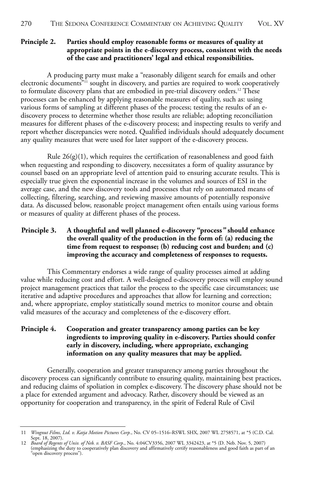#### **Principle 2. Parties should employ reasonable forms or measures of quality at appropriate points in the e-discovery process, consistent with the needs of the case and practitioners' legal and ethical responsibilities.**

A producing party must make a "reasonably diligent search for emails and other electronic documents"<sup>11</sup> sought in discovery, and parties are required to work cooperatively to formulate discovery plans that are embodied in pre-trial discovery orders.<sup>12</sup> These processes can be enhanced by applying reasonable measures of quality, such as: using various forms of sampling at different phases of the process; testing the results of an ediscovery process to determine whether those results are reliable; adopting reconciliation measures for different phases of the e-discovery process; and inspecting results to verify and report whether discrepancies were noted. Qualified individuals should adequately document any quality measures that were used for later support of the e-discovery process.

Rule  $26(g)(1)$ , which requires the certification of reasonableness and good faith when requesting and responding to discovery, necessitates a form of quality assurance by counsel based on an appropriate level of attention paid to ensuring accurate results. This is especially true given the exponential increase in the volumes and sources of ESI in the average case, and the new discovery tools and processes that rely on automated means of collecting, filtering, searching, and reviewing massive amounts of potentially responsive data. As discussed below, reasonable project management often entails using various forms or measures of quality at different phases of the process.

#### **Principle 3. A thoughtful and well planned e-discovery "process***"* **should enhance the overall quality of the production in the form of: (a) reducing the time from request to response; (b) reducing cost and burden; and (c) improving the accuracy and completeness of responses to requests.**

This Commentary endorses a wide range of quality processes aimed at adding value while reducing cost and effort. A well-designed e-discovery process will employ sound project management practices that tailor the process to the specific case circumstances; use iterative and adaptive procedures and approaches that allow for learning and correction; and, where appropriate, employ statistically sound metrics to monitor course and obtain valid measures of the accuracy and completeness of the e-discovery effort.

#### **Principle 4. Cooperation and greater transparency among parties can be key ingredients to improving quality in e-discovery. Parties should confer early in discovery, including, where appropriate, exchanging information on any quality measures that may be applied.**

Generally, cooperation and greater transparency among parties throughout the discovery process can significantly contribute to ensuring quality, maintaining best practices, and reducing claims of spoliation in complex e-discovery. The discovery phase should not be a place for extended argument and advocacy. Rather, discovery should be viewed as an opportunity for cooperation and transparency, in the spirit of Federal Rule of Civil

<sup>11</sup> Wingnut Films, Ltd. v. Katja Motion Pictures Corp., No. CV 05–1516–RSWL SHX, 2007 WL 2758571, at \*5 (C.D. Cal.<br>Sept. 18, 2007).<br>Board of Regents of Univ. of Neb. v. BASF Corp., No. 4:04CV3356, 2007 WL 3342423, at \*5 (D.

<sup>(</sup>emphasizing the duty to cooperatively plan discovery and affirmatively certify reasonableness and good faith as part of an "open discovery process").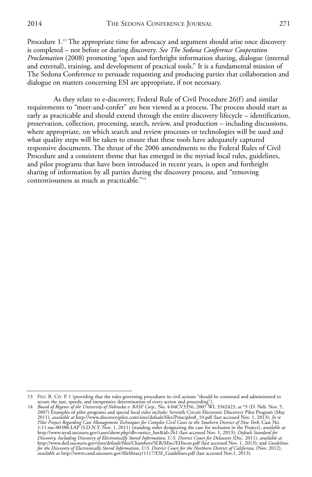Procedure 1.13 The appropriate time for advocacy and argument should arise once discovery is completed – not before or during discovery. *See The Sedona Conference Cooperation Proclamation* (2008) promoting "open and forthright information sharing, dialogue (internal and external), training, and development of practical tools." It is a fundamental mission of The Sedona Conference to persuade requesting and producing parties that collaboration and dialogue on matters concerning ESI are appropriate, if not necessary.

As they relate to e-discovery, Federal Rule of Civil Procedure 26(f) and similar requirements to "meet-and-confer" are best viewed as a process. The process should start as early as practicable and should extend through the entire discovery lifecycle – identification, preservation, collection, processing, search, review, and production – including discussions, where appropriate, on which search and review processes or technologies will be used and what quality steps will be taken to ensure that these tools have adequately captured responsive documents. The thrust of the 2006 amendments to the Federal Rules of Civil Procedure and a consistent theme that has emerged in the myriad local rules, guidelines, and pilot programs that have been introduced in recent years, is open and forthright sharing of information by all parties during the discovery process, and "removing contentiousness as much as practicable."14

<sup>13</sup> FED. R. CIV. P. 1 (providing that the rules governing procedures in civil actions "should be construed and administered to

secure the just, speedy, and inexpensive determination of every action and proceeding").<br>14 Board of Regents of the University of Nebraska v. BASF Corp., No. 4:04CV3356, 2007 WL 3342423, at \*5 (D. Neb. Nov. 5,<br>2007) Exampl 2011), *available at* http://www.discoverypilot.com/sites/default/files/Principles8\_10.pdf (last accessed Nov. 1, 2013); *In re*<br>Pilot Project Regarding Case Management Techniques for Complex Civil Cases in the Southern Di http://www.nysd.uscourts.gov/cases/show.php?db=notice\_bar&id=261 (last accessed Nov. 1, 2013); *Default Standard for*<br>Discovery, Including Discovery of Electronically Stored Information, U.S. District Court for Delaware (D for the Discovery of Electronically Stored Information, U.S. District Court for the Northern District of California, (Nov. 2012),<br>available at http://www.cand.uscourts.gov/filelibrary/1117/ESI\_Guidelines.pdf (last accessed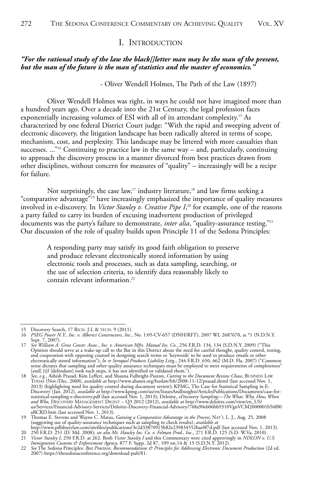#### I. INTRODUCTION

#### *"For the rational study of the law the black[]letter man may be the man of the present, but the man of the future is the man of statistics and the master of economics."*

- Oliver Wendell Holmes, The Path of the Law (1897)

Oliver Wendell Holmes was right, in ways he could not have imagined more than a hundred years ago. Over a decade into the 21st Century, the legal profession faces exponentially increasing volumes of ESI with all of its attendant complexity.<sup>15</sup> As characterized by one federal District Court judge: "With the rapid and sweeping advent of electronic discovery, the litigation landscape has been radically altered in terms of scope, mechanism, cost, and perplexity. This landscape may be littered with more casualties than successes. ..."<sup>16</sup> Continuing to practice law in the same way – and, particularly, continuing to approach the discovery process in a manner divorced from best practices drawn from other disciplines, without concern for measures of "quality" – increasingly will be a recipe for failure.

Not surprisingly, the case law,<sup>17</sup> industry literature,<sup>18</sup> and law firms seeking a "comparative advantage"19 have increasingly emphasized the importance of quality measures involved in e-discovery. In *Victor Stanley v. Creative Pipe I*, <sup>20</sup> for example, one of the reasons a party failed to carry its burden of excusing inadvertent production of privileged documents was the party's failure to demonstrate, *inter alia*, "quality-assurance testing."21 Our discussion of the role of quality builds upon Principle 11 of the Sedona Principles:

A responding party may satisfy its good faith obligation to preserve and produce relevant electronically stored information by using electronic tools and processes, such as data sampling, searching, or the use of selection criteria, to identify data reasonably likely to contain relevant information.<sup>22</sup>

<sup>15</sup> Discovery Search, 17 RICH. J.L & TECH. 9 (2011). 16 *PSEG Power N.Y., Inc. v. Alberici Constructors, Inc.*, No. 1:05-CV-657 (DNH/RFT), 2007 WL 2687670, at \*1 (N.D.N.Y.

Sept. 7, 2007). 17 *See William A. Gross Constr. Assoc., Inc. v. American Mfrs. Mutual Ins. Co.*, 256 F.R.D. 134, 134 (S.D.N.Y. 2009) ("This Opinion should serve as a wake-up call to the Bar in this District about the need for careful thought, quality control, testing, and cooperation with opposing counsel in designing search terms or 'keywords' to be used to produce emails or other<br>electronically stored information"); *In re Serøquel Products Liability Litig*., 244 F.R.D. 650, 662 (M.D. [and] [i]f [defendant] took such steps, it has not identified or validated them.").

<sup>18</sup> See, e.g., Ashish Prasad, Kim Leffert, and Shauna Fulbright-Paxton, *Cutting to the Document Review Chase*, BUSINESS LAW<br>TODAY (Nov./Dec. 2008), *available at* http://www.abanet.org/buslaw/blt/2008-11-12/prasad.shtml (l 2013) (highlighting need for quality control during document review); KPMG, The Case for Statistical Sampling in E-<br>Discovery (Jan. 2012), *available at* http://www.kpmg.com/us/en/IssuesAndInsights/ArticlesPublications/Doc *and Who,* DISCOVERY MANAGEMENT DIGEST – Q3 2012 (2012), *available at* http://www.deloitte.com/view/en\_US/ us/Services/Financial-Advisory-Services/Deloitte-Discovery-Financial-Advisory/748a90e606bb9310VgnVCM2000001b56f00 aRCRD.htm (last accessed Nov. 1, 2013).

<sup>19</sup> Thomas E. Stevens and Wayne C. Matus, *Gaining a Comparative Advantage in the Process*, NAT'L L. J., Aug. 25, 2008 (suggesting use of quality-assurance techniques such as sampling to check results), *available at* http://www.pillsburylaw.com/sitefiles/publications/3e2d33870915b82e239834552bae0f7d.pdf (last accessed Nov, 1, 2013).

<sup>20 250</sup> F.R.D. 251 (D. Md. 2008); see also Mt. Hawley Ins. Co. v. Felman Prod., Inc., 271 F.R.D. 125 (S.D. W.Va. 2010).<br>21 Victor Stanley I, 250 F.R.D. at 262. Both Victor Stanley I and this Commentary were cited approvingl

<sup>22</sup> *See* The Sedona Principles: *Best Practices, Recommendations & Principles for Addressing Electronic Document Production* (2d ed. 2007) https://thesedonaconference.org/download-pub/81.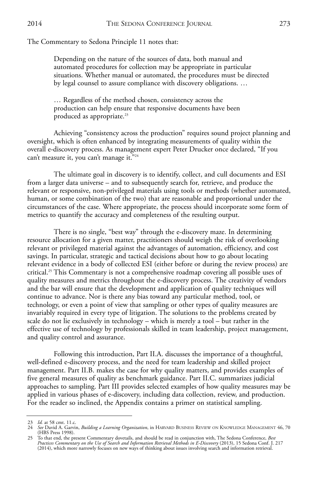#### The Commentary to Sedona Principle 11 notes that:

Depending on the nature of the sources of data, both manual and automated procedures for collection may be appropriate in particular situations. Whether manual or automated, the procedures must be directed by legal counsel to assure compliance with discovery obligations. …

… Regardless of the method chosen, consistency across the production can help ensure that responsive documents have been produced as appropriate.<sup>23</sup>

Achieving "consistency across the production" requires sound project planning and oversight, which is often enhanced by integrating measurements of quality within the overall e-discovery process. As management expert Peter Drucker once declared, "If you can't measure it, you can't manage it."24

The ultimate goal in discovery is to identify, collect, and cull documents and ESI from a larger data universe – and to subsequently search for, retrieve, and produce the relevant or responsive, non-privileged materials using tools or methods (whether automated, human, or some combination of the two) that are reasonable and proportional under the circumstances of the case. Where appropriate, the process should incorporate some form of metrics to quantify the accuracy and completeness of the resulting output.

There is no single, "best way" through the e-discovery maze. In determining resource allocation for a given matter, practitioners should weigh the risk of overlooking relevant or privileged material against the advantages of automation, efficiency, and cost savings. In particular, strategic and tactical decisions about how to go about locating relevant evidence in a body of collected ESI (either before or during the review process) are critical.25 This Commentary is not a comprehensive roadmap covering all possible uses of quality measures and metrics throughout the e-discovery process. The creativity of vendors and the bar will ensure that the development and application of quality techniques will continue to advance. Nor is there any bias toward any particular method, tool, or technology, or even a point of view that sampling or other types of quality measures are invariably required in every type of litigation. The solutions to the problems created by scale do not lie exclusively in technology – which is merely a tool – but rather in the effective use of technology by professionals skilled in team leadership, project management, and quality control and assurance.

Following this introduction, Part II.A. discusses the importance of a thoughtful, well-defined e-discovery process, and the need for team leadership and skilled project management. Part II.B. makes the case for why quality matters, and provides examples of five general measures of quality as benchmark guidance. Part II.C. summarizes judicial approaches to sampling. Part III provides selected examples of how quality measures may be applied in various phases of e-discovery, including data collection, review, and production. For the reader so inclined, the Appendix contains a primer on statistical sampling.

<sup>23</sup> *Id.* at 58 cmt. 11.c.

<sup>24</sup> *See* David A. Garvin, *Building a Learning Organization*, in HARVARD BUSINESS REVIEW ON KNOWLEDGE MANAGEMENT 46, 70 (HBS Press 1998).

<sup>25</sup> To that end, the present Commentary dovetails, and should be read in conjunction with, The Sedona Conference, *Best*<br>*Practices Commentary on the Use of Search and Information Retrieval Methods in E-Discovery* (2013), 1 (2014), which more narrowly focuses on new ways of thinking about issues involving search and information retrieval.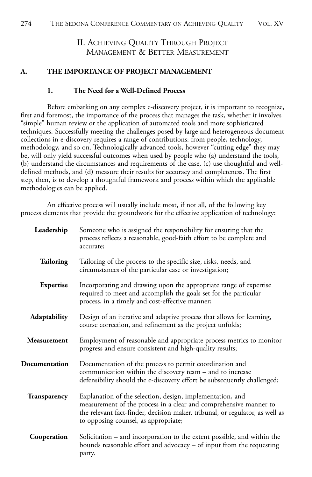#### II. ACHIEVING QUALITY THROUGH PROJECT MANAGEMENT & BETTER MEASUREMENT

#### **A. THE IMPORTANCE OF PROJECT MANAGEMENT**

#### **1. The Need for a Well-Defined Process**

Before embarking on any complex e-discovery project, it is important to recognize, first and foremost, the importance of the process that manages the task, whether it involves "simple" human review or the application of automated tools and more sophisticated techniques. Successfully meeting the challenges posed by large and heterogeneous document collections in e-discovery requires a range of contributions: from people, technology, methodology, and so on. Technologically advanced tools, however "cutting edge" they may be, will only yield successful outcomes when used by people who (a) understand the tools, (b) understand the circumstances and requirements of the case, (c) use thoughtful and welldefined methods, and (d) measure their results for accuracy and completeness. The first step, then, is to develop a thoughtful framework and process within which the applicable methodologies can be applied.

An effective process will usually include most, if not all, of the following key process elements that provide the groundwork for the effective application of technology:

| Leadership    | Someone who is assigned the responsibility for ensuring that the<br>process reflects a reasonable, good-faith effort to be complete and<br>accurate;                                                                                                   |
|---------------|--------------------------------------------------------------------------------------------------------------------------------------------------------------------------------------------------------------------------------------------------------|
| Tailoring     | Tailoring of the process to the specific size, risks, needs, and<br>circumstances of the particular case or investigation;                                                                                                                             |
| Expertise     | Incorporating and drawing upon the appropriate range of expertise<br>required to meet and accomplish the goals set for the particular<br>process, in a timely and cost-effective manner;                                                               |
| Adaptability  | Design of an iterative and adaptive process that allows for learning,<br>course correction, and refinement as the project unfolds;                                                                                                                     |
| Measurement   | Employment of reasonable and appropriate process metrics to monitor<br>progress and ensure consistent and high-quality results;                                                                                                                        |
| Documentation | Documentation of the process to permit coordination and<br>communication within the discovery team - and to increase<br>defensibility should the e-discovery effort be subsequently challenged;                                                        |
| Transparency  | Explanation of the selection, design, implementation, and<br>measurement of the process in a clear and comprehensive manner to<br>the relevant fact-finder, decision maker, tribunal, or regulator, as well as<br>to opposing counsel, as appropriate; |
| Cooperation   | Solicitation – and incorporation to the extent possible, and within the<br>bounds reasonable effort and advocacy – of input from the requesting<br>party.                                                                                              |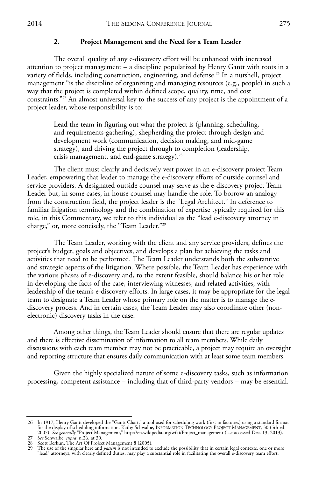#### **2. Project Management and the Need for a Team Leader**

The overall quality of any e-discovery effort will be enhanced with increased attention to project management – a discipline popularized by Henry Gantt with roots in a variety of fields, including construction, engineering, and defense.<sup>26</sup> In a nutshell, project management "is the discipline of organizing and managing resources (e.g*.*, people) in such a way that the project is completed within defined scope, quality, time, and cost constraints."<sup>27</sup> An almost universal key to the success of any project is the appointment of a project leader, whose responsibility is to:

Lead the team in figuring out what the project is (planning, scheduling, and requirements-gathering), shepherding the project through design and development work (communication, decision making, and mid-game strategy), and driving the project through to completion (leadership, crisis management, and end-game strategy).<sup>28</sup>

The client must clearly and decisively vest power in an e-discovery project Team Leader, empowering that leader to manage the e-discovery efforts of outside counsel and service providers. A designated outside counsel may serve as the e-discovery project Team Leader but, in some cases, in-house counsel may handle the role. To borrow an analogy from the construction field, the project leader is the "Legal Architect." In deference to familiar litigation terminology and the combination of expertise typically required for this role, in this Commentary, we refer to this individual as the "lead e-discovery attorney in charge," or, more concisely, the "Team Leader."29

The Team Leader, working with the client and any service providers, defines the project's budget, goals and objectives, and develops a plan for achieving the tasks and activities that need to be performed. The Team Leader understands both the substantive and strategic aspects of the litigation. Where possible, the Team Leader has experience with the various phases of e-discovery and, to the extent feasible, should balance his or her role in developing the facts of the case, interviewing witnesses, and related activities, with leadership of the team's e-discovery efforts. In large cases, it may be appropriate for the legal team to designate a Team Leader whose primary role on the matter is to manage the ediscovery process. And in certain cases, the Team Leader may also coordinate other (nonelectronic) discovery tasks in the case.

Among other things, the Team Leader should ensure that there are regular updates and there is effective dissemination of information to all team members. While daily discussions with each team member may not be practicable, a project may require an oversight and reporting structure that ensures daily communication with at least some team members.

Given the highly specialized nature of some e-discovery tasks, such as information processing, competent assistance – including that of third-party vendors – may be essential.

<sup>26</sup> In 1917, Henry Gantt developed the "Gantt Chart," a tool used for scheduling work (first in factories) using a standard format for the display of scheduling information. Kathy Schwalbe, INFORMATION TECHNOLOGY PROJECT MANAGEMENT, 30 (5th ed. 2007). *See generally* "Project Management," http://en.wikipedia.org/wiki/Project\_management (last accessed Dec. 13, 2013).<br>27 *See* Schwalbe, *supra,* n.26, at 30.<br>28 Scott Berkun, The Art Of Project Management 8 (200

<sup>29</sup> The use of the singular here and *passim* is not intended to exclude the possibility that in certain legal contexts, one or more "lead" attorneys, with clearly defined duties, may play a substantial role in facilitating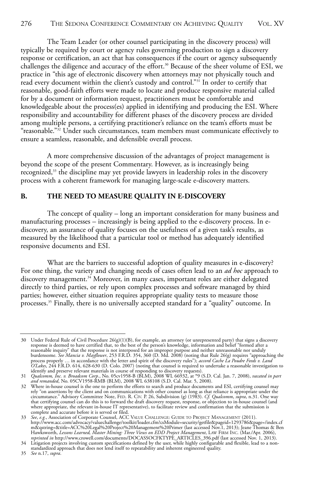The Team Leader (or other counsel participating in the discovery process) will typically be required by court or agency rules governing production to sign a discovery response or certification, an act that has consequences if the court or agency subsequently challenges the diligence and accuracy of the effort.<sup>30</sup> Because of the sheer volume of ESI, we practice in "this age of electronic discovery when attorneys may not physically touch and read every document within the client's custody and control."<sup>31</sup> In order to certify that reasonable, good-faith efforts were made to locate and produce responsive material called for by a document or information request, practitioners must be comfortable and knowledgeable about the process(es) applied in identifying and producing the ESI. Where responsibility and accountability for different phases of the discovery process are divided among multiple persons, a certifying practitioner's reliance on the team's efforts must be "reasonable."32 Under such circumstances, team members must communicate effectively to ensure a seamless, reasonable, and defensible overall process.

A more comprehensive discussion of the advantages of project management is beyond the scope of the present Commentary. However, as is increasingly being recognized,<sup>33</sup> the discipline may yet provide lawyers in leadership roles in the discovery process with a coherent framework for managing large-scale e-discovery matters.

#### **B. THE NEED TO MEASURE QUALITY IN E-DISCOVERY**

The concept of quality – long an important consideration for many business and manufacturing processes – increasingly is being applied to the e-discovery process. In ediscovery, an assurance of quality focuses on the usefulness of a given task's results, as measured by the likelihood that a particular tool or method has adequately identified responsive documents and ESI.

What are the barriers to successful adoption of quality measures in e-discovery? For one thing, the variety and changing needs of cases often lead to an *ad hoc* approach to discovery management.<sup>34</sup> Moreover, in many cases, important roles are either delegated directly to third parties, or rely upon complex processes and software managed by third parties; however, either situation requires appropriate quality tests to measure those processes.<sup>35</sup> Finally, there is no universally accepted standard for a "quality" outcome. In

35 *See* n.17, *supra*.

<sup>30</sup> Under Federal Rule of Civil Procedure  $26(g)(1)(B)$ , for example, an attorney (or unrepresented party) that signs a discovery response is deemed to have certified that, to the best of the person's knowledge, information a process properly ... in accordance with the letter and spirit of the discovery rules"); *accord Cache La Poudre Feeds v. Land* O'Lakes, 244 F.R.D. 614, 628-630 (D. Colo. 2007) (noting that counsel is required to undertake

<sup>32</sup> Where in-house counsel is the one to perform the efforts to search and produce documents and ESI, certifying counsel may rely "on assertions by the client and on communications with other counsel as long as that reliance is appropriate under the<br>circumstance." Advisory Committee Note, FED. R. CIV. P. 26, Subdivision (g) (1983). *Cf. Qualcomm* that certifying counsel can do this is to forward the draft discovery request, response, or objection to in-house counsel (and where appropriate, the relevant in-house IT representative), to facilitate review and confirmation that the submission is complete and accurate before it is served or filed.

<sup>33</sup> See, e.g., Association of Corporate Counsel, ACC VALUE CHALLENGE: GUIDE TO PROJECT MANAGEMENT (2011).<br>http://www.acc.com/advocacy/valuechallenge/toolkir/loader.cfm?csModule=security/gertile&pageid=1293786&page=/index.cf Hawksworth, *Lessons Learned, Master Mining: Three Views on EDD Project Management,* LAW FIRM INC. (Mar./Apr. 2006),<br>reprinted in http://www.crowell.com/documents/DOCASSOCFKTYPE\_ARTICLES\_396.pdf (last accessed Nov. 1, 2013

standardized approach that does not lend itself to repeatability and inherent engineered quality.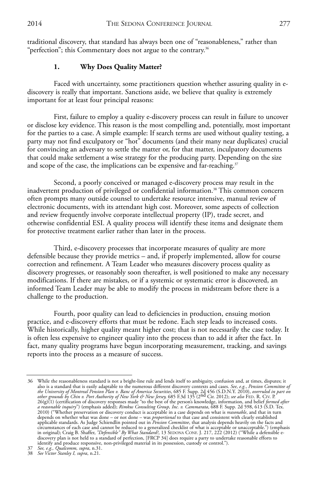traditional discovery, that standard has always been one of "reasonableness," rather than "perfection"; this Commentary does not argue to the contrary.<sup>36</sup>

#### **1. Why Does Quality Matter?**

Faced with uncertainty, some practitioners question whether assuring quality in ediscovery is really that important. Sanctions aside, we believe that quality is extremely important for at least four principal reasons:

First, failure to employ a quality e-discovery process can result in failure to uncover or disclose key evidence. This reason is the most compelling and, potentially, most important for the parties to a case. A simple example: If search terms are used without quality testing, a party may not find exculpatory or "hot" documents (and their many near duplicates) crucial for convincing an adversary to settle the matter or, for that matter, inculpatory documents that could make settlement a wise strategy for the producing party. Depending on the size and scope of the case, the implications can be expensive and far-reaching.<sup>37</sup>

Second, a poorly conceived or managed e-discovery process may result in the inadvertent production of privileged or confidential information.38 This common concern often prompts many outside counsel to undertake resource intensive, manual review of electronic documents, with its attendant high cost. Moreover, some aspects of collection and review frequently involve corporate intellectual property (IP), trade secret, and otherwise confidential ESI. A quality process will identify these items and designate them for protective treatment earlier rather than later in the process.

Third, e-discovery processes that incorporate measures of quality are more defensible because they provide metrics – and, if properly implemented, allow for course correction and refinement. A Team Leader who measures discovery process quality as discovery progresses, or reasonably soon thereafter, is well positioned to make any necessary modifications. If there are mistakes, or if a systemic or systematic error is discovered, an informed Team Leader may be able to modify the process in midstream before there is a challenge to the production.

Fourth, poor quality can lead to deficiencies in production, ensuing motion practice, and e-discovery efforts that must be redone. Each step leads to increased costs. While historically, higher quality meant higher cost; that is not necessarily the case today. It is often less expensive to engineer quality into the process than to add it after the fact. In fact, many quality programs have begun incorporating measurement, tracking, and savings reports into the process as a measure of success.

<sup>36</sup> While the reasonableness standard is not a bright-line rule and lends itself to ambiguity, confusion and, at times, disputes; it also is a standard that is easily adaptable to the numerous different discovery contexts and cases. *See, e.g., Pension Committee of*<br>the University of Montereal Pension Plan v. Banc of America Securities, 685 F. Supp. 2d depends on whether what was done – or not done – was *proportional* to that case and consistent with clearly established<br>applicable standards. As Judge Schiendlin pointed out in *Pension Committee*, that analysis depends h in original); Craig B. Shaffer, *"Defensible" By What Standard?*, 13 SEDONA CONF. J. 217, 222 (2012) ("While a defensible e-<br>discovery plan is not held to a standard of perfection, [FRCP 34] does require a party to underta

<sup>37</sup> *See, e.g., Qualcomm, supra*, n.31. 38 *See Victor Stanley I, supra*, n.21.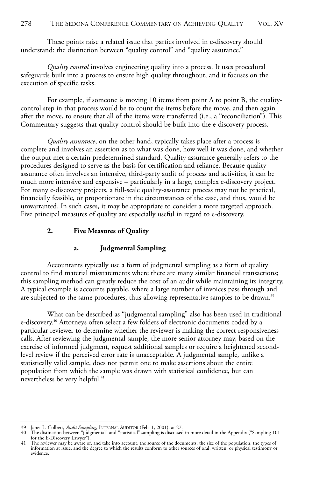These points raise a related issue that parties involved in e-discovery should understand: the distinction between "quality control" and "quality assurance."

*Quality control* involves engineering quality into a process. It uses procedural safeguards built into a process to ensure high quality throughout, and it focuses on the execution of specific tasks.

For example, if someone is moving 10 items from point A to point B, the qualitycontrol step in that process would be to count the items before the move, and then again after the move, to ensure that all of the items were transferred (i.e., a "reconciliation"). This Commentary suggests that quality control should be built into the e-discovery process.

*Quality assurance*, on the other hand, typically takes place after a process is complete and involves an assertion as to what was done, how well it was done, and whether the output met a certain predetermined standard. Quality assurance generally refers to the procedures designed to serve as the basis for certification and reliance. Because quality assurance often involves an intensive, third-party audit of process and activities, it can be much more intensive and expensive – particularly in a large, complex e-discovery project. For many e-discovery projects, a full-scale quality-assurance process may not be practical, financially feasible, or proportionate in the circumstances of the case, and thus, would be unwarranted. In such cases, it may be appropriate to consider a more targeted approach. Five principal measures of quality are especially useful in regard to e-discovery.

#### **2. Five Measures of Quality**

#### **a. Judgmental Sampling**

Accountants typically use a form of judgmental sampling as a form of quality control to find material misstatements where there are many similar financial transactions; this sampling method can greatly reduce the cost of an audit while maintaining its integrity. A typical example is accounts payable, where a large number of invoices pass through and are subjected to the same procedures, thus allowing representative samples to be drawn.<sup>39</sup>

What can be described as "judgmental sampling" also has been used in traditional e-discovery.40 Attorneys often select a few folders of electronic documents coded by a particular reviewer to determine whether the reviewer is making the correct responsiveness calls. After reviewing the judgmental sample, the more senior attorney may, based on the exercise of informed judgment, request additional samples or require a heightened secondlevel review if the perceived error rate is unacceptable. A judgmental sample, unlike a statistically valid sample, does not permit one to make assertions about the entire population from which the sample was drawn with statistical confidence, but can nevertheless be very helpful.<sup>41</sup>

<sup>39</sup> Janet L. Colbert, *Audit Sampling*, INTERNAL AUDITOR (Feb. 1, 2001), at 27.

<sup>40</sup> The distinction between "judgmental" and "statistical" sampling is discussed in more detail in the Appendix ("Sampling 101 for the E-Discovery Lawyer").

<sup>41</sup> The reviewer may be aware of, and take into account, the source of the documents, the size of the population, the types of information at issue, and the degree to which the results conform to other sources of oral, written, or physical testimony or evidence.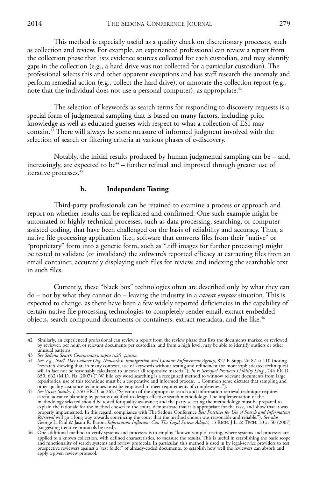This method is especially useful as a quality check on discretionary processes, such as collection and review. For example, an experienced professional can review a report from the collection phase that lists evidence sources collected for each custodian, and may identify gaps in the collection (e.g., a hard drive was not collected for a particular custodian). The professional selects this and other apparent exceptions and has staff research the anomaly and perform remedial action (e.g., collect the hard drive), or annotate the collection report (e.g., note that the individual does not use a personal computer), as appropriate.<sup> $42$ </sup>

The selection of keywords as search terms for responding to discovery requests is a special form of judgmental sampling that is based on many factors, including prior knowledge as well as educated guesses with respect to what a collection of ESI may contain.<sup>43</sup> There will always be some measure of informed judgment involved with the selection of search or filtering criteria at various phases of e-discovery.

Notably, the initial results produced by human judgmental sampling can be – and, increasingly, are expected to be<sup>44</sup> – further refined and improved through greater use of iterative processes.<sup>45</sup>

#### **b. Independent Testing**

Third-party professionals can be retained to examine a process or approach and report on whether results can be replicated and confirmed. One such example might be automated or highly technical processes, such as data processing, searching, or computerassisted coding, that have been challenged on the basis of reliability and accuracy. Thus, a native file processing application (i.e., software that converts files from their "native" or "proprietary" form into a generic form, such as \*.tiff images for further processing) might be tested to validate (or invalidate) the software's reported efficacy at extracting files from an email container, accurately displaying such files for review, and indexing the searchable text in such files.

Currently, these "black box" technologies often are described only by what they can do – not by what they cannot do – leaving the industry in a *caveat emptor* situation. This is expected to change, as there have been a few widely reported deficiencies in the capability of certain native file processing technologies to completely render email, extract embedded objects, search compound documents or containers, extract metadata, and the like.<sup>46</sup>

<sup>42</sup> Similarly, an experienced professional can review a report from the review phase that lists the documents marked or reviewed,<br>by reviewer, per hour, or relevant documents per custodian, and from a high level, may be abl unusual patterns.<br>43 See Sedona Search Commentary, supra n.25, passim.

<sup>43</sup> See Sedona Search Commentary, supra n.25, passim.<br>44 See, e.g., Nat'l. Day Laborer Org. Network v. Immigration and Customs Enforcement Agency, 877 F. Supp. 2d 87 at 110 (noting<br>"research showing that, in many contexts, 650, 662 (M.D. Fla. 2007) ("[W]hile key word searching is a recognized method to winnow relevant documents from large repositories, use of this technique must be a cooperative and informed process. ... Common sense dictates that sampling and

other quality assurance techniques must be employed to meet requirements of completeness.").<br>45 *See Victor Stanley I, 25*0 F.R.D. at 262 ("Selection of the appropriate search and information retrieval technique requires methodology selected should be tested for quality assurance; and the party selecting the methodology must be prepared to<br>explain the rationale for the method chosen to the court, demonstrate that it is appropriate for the *Retrieval* will go a long way towards convincing the court that the method chosen was reasonable and reliable."). *See also*<br>George L. Paul & Jason R. Baron, *Information Inflation: Can The Legal System Adapt?*, 13 RICH. (suggesting iterative protocols be used).

<sup>46</sup> One additional method to verify systems and processes is to employ "known sample" testing, where systems and processes are applied to a known collection, with defined characteristics, to measure the results. This is use prospective reviewers against a "test folder" of already-coded documents, to establish how well the reviewers can absorb and apply a given review protocol.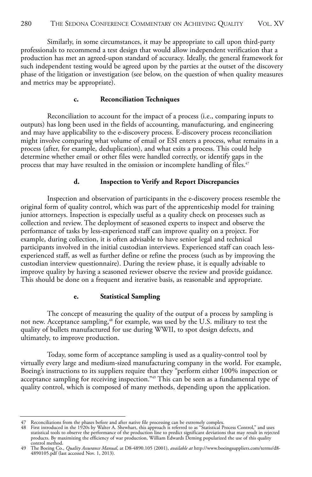Similarly, in some circumstances, it may be appropriate to call upon third-party professionals to recommend a test design that would allow independent verification that a production has met an agreed-upon standard of accuracy. Ideally, the general framework for such independent testing would be agreed upon by the parties at the outset of the discovery phase of the litigation or investigation (see below, on the question of when quality measures and metrics may be appropriate).

#### **c. Reconciliation Techniques**

Reconciliation to account for the impact of a process (i.e., comparing inputs to outputs) has long been used in the fields of accounting, manufacturing, and engineering and may have applicability to the e-discovery process. E-discovery process reconciliation might involve comparing what volume of email or ESI enters a process, what remains in a process (after, for example, deduplication), and what exits a process. This could help determine whether email or other files were handled correctly, or identify gaps in the process that may have resulted in the omission or incomplete handling of files.<sup>47</sup>

#### **d. Inspection to Verify and Report Discrepancies**

Inspection and observation of participants in the e-discovery process resemble the original form of quality control, which was part of the apprenticeship model for training junior attorneys. Inspection is especially useful as a quality check on processes such as collection and review. The deployment of seasoned experts to inspect and observe the performance of tasks by less-experienced staff can improve quality on a project. For example, during collection, it is often advisable to have senior legal and technical participants involved in the initial custodian interviews. Experienced staff can coach lessexperienced staff, as well as further define or refine the process (such as by improving the custodian interview questionnaire). During the review phase, it is equally advisable to improve quality by having a seasoned reviewer observe the review and provide guidance. This should be done on a frequent and iterative basis, as reasonable and appropriate.

#### **e. Statistical Sampling**

The concept of measuring the quality of the output of a process by sampling is not new. Acceptance sampling,<sup>48</sup> for example, was used by the U.S. military to test the quality of bullets manufactured for use during WWII, to spot design defects, and ultimately, to improve production.

Today, some form of acceptance sampling is used as a quality-control tool by virtually every large and medium-sized manufacturing company in the world. For example, Boeing's instructions to its suppliers require that they "perform either 100% inspection or acceptance sampling for receiving inspection."49 This can be seen as a fundamental type of quality control, which is composed of many methods, depending upon the application.

<sup>47</sup> Reconciliations from the phases before and after native file processing can be extremely complex.<br>48 First introduced in the 1920s by Walter A. Shewhart, this approach is referred to as "Statistical Process Control, statistical tools to observe the performance of the production line to predict significant deviations that may result in rejected<br>products. By maximizing the efficiency of war production, William Edwards Deming popularized control method.

<sup>49</sup> The Boeing Co., *Quality Assurance Manual*, at D8-4890.105 (2001), *available at* http://www.boeingsuppliers.com/terms/d8- 4890105.pdf (last accessed Nov. 1, 2013).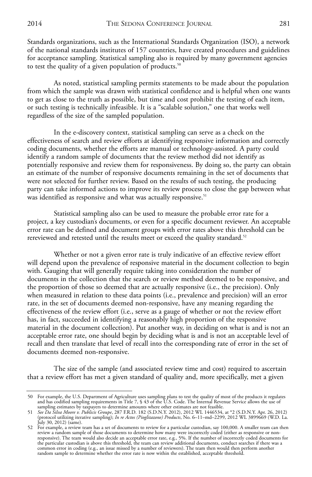Standards organizations, such as the International Standards Organization (ISO), a network of the national standards institutes of 157 countries, have created procedures and guidelines for acceptance sampling. Statistical sampling also is required by many government agencies to test the quality of a given population of products.<sup>50</sup>

As noted, statistical sampling permits statements to be made about the population from which the sample was drawn with statistical confidence and is helpful when one wants to get as close to the truth as possible, but time and cost prohibit the testing of each item, or such testing is technically infeasible. It is a "scalable solution," one that works well regardless of the size of the sampled population.

In the e-discovery context, statistical sampling can serve as a check on the effectiveness of search and review efforts at identifying responsive information and correctly coding documents, whether the efforts are manual or technology-assisted. A party could identify a random sample of documents that the review method did not identify as potentially responsive and review them for responsiveness. By doing so, the party can obtain an estimate of the number of responsive documents remaining in the set of documents that were not selected for further review. Based on the results of such testing, the producing party can take informed actions to improve its review process to close the gap between what was identified as responsive and what was actually responsive.<sup>51</sup>

Statistical sampling also can be used to measure the probable error rate for a project, a key custodian's documents, or even for a specific document reviewer. An acceptable error rate can be defined and document groups with error rates above this threshold can be rereviewed and retested until the results meet or exceed the quality standard.<sup>52</sup>

Whether or not a given error rate is truly indicative of an effective review effort will depend upon the prevalence of responsive material in the document collection to begin with. Gauging that will generally require taking into consideration the number of documents in the collection that the search or review method deemed to be responsive, and the proportion of those so deemed that are actually responsive (i.e., the precision). Only when measured in relation to these data points (i.e., prevalence and precision) will an error rate, in the set of documents deemed non-responsive, have any meaning regarding the effectiveness of the review effort (i.e., serve as a gauge of whether or not the review effort has, in fact, succeeded in identifying a reasonably high proportion of the responsive material in the document collection). Put another way, in deciding on what is and is not an acceptable error rate, one should begin by deciding what is and is not an acceptable level of recall and then translate that level of recall into the corresponding rate of error in the set of documents deemed non-responsive.

The size of the sample (and associated review time and cost) required to ascertain that a review effort has met a given standard of quality and, more specifically, met a given

<sup>50</sup> For example, the U.S. Department of Agriculture uses sampling plans to test the quality of most of the products it regulates and has codified sampling requirements in Title 7, § 43 of the U.S. Code. The Internal Revenue Service allows the use of

sampling estimates by taxpayers to determine amounts where other estimates are not feasible. 51 *See Da Silva Moore v. Publicis Groupe*, 287 F.R.D. 182 (S.D.N.Y. 2012), 2012 WL 1446534, at \*2 (S.D.N.Y. Apr. 26, 2012) (protocol utilizing iterative sampling); *In re Actos (Pioglitazone) Products*, No. 6–11–md–2299, 2012 WL 3899669 (W.D. La.

July 30, 2012) (same). 52 For example, a review team has a set of documents to review for a particular custodian, say 100,000. A smaller team can then review a random sample of those documents to determine how many were incorrectly coded (either as responsive or non-<br>responsive). The team would also decide an acceptable error rate, e.g., 5%. If the number of incorrectly common error in coding (e.g., an issue missed by a number of reviewers). The team then would then perform another random sample to determine whether the error rate is now within the established, acceptable threshold.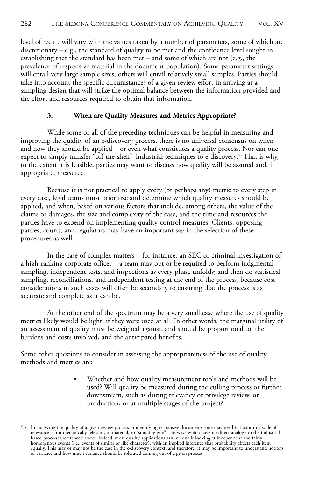level of recall, will vary with the values taken by a number of parameters, some of which are discretionary – e.g., the standard of quality to be met and the confidence level sought in establishing that the standard has been met – and some of which are not (e.g., the prevalence of responsive material in the document population). Some parameter settings will entail very large sample sizes; others will entail relatively small samples. Parties should take into account the specific circumstances of a given review effort in arriving at a sampling design that will strike the optimal balance between the information provided and the effort and resources required to obtain that information.

#### **3. When are Quality Measures and Metrics Appropriate?**

While some or all of the preceding techniques can be helpful in measuring and improving the quality of an e-discovery process, there is no universal consensus on when and how they should be applied – or even what constitutes a quality process. Nor can one expect to simply transfer "off-the-shelf" industrial techniques to e-discovery.<sup>53</sup> That is why, to the extent it is feasible, parties may want to discuss how quality will be assured and, if appropriate, measured.

Because it is not practical to apply every (or perhaps any) metric to every step in every case, legal teams must prioritize and determine which quality measures should be applied, and when, based on various factors that include, among others, the value of the claims or damages, the size and complexity of the case, and the time and resources the parties have to expend on implementing quality-control measures. Clients, opposing parties, courts, and regulators may have an important say in the selection of these procedures as well.

In the case of complex matters – for instance, an SEC or criminal investigation of a high-ranking corporate officer – a team may opt or be required to perform judgmental sampling, independent tests, and inspections as every phase unfolds; and then do statistical sampling, reconciliations, and independent testing at the end of the process, because cost considerations in such cases will often be secondary to ensuring that the process is as accurate and complete as it can be.

At the other end of the spectrum may be a very small case where the use of quality metrics likely would be light, if they were used at all. In other words, the marginal utility of an assessment of quality must be weighed against, and should be proportional to, the burdens and costs involved, and the anticipated benefits.

Some other questions to consider in assessing the appropriateness of the use of quality methods and metrics are:

> • Whether and how quality measurement tools and methods will be used? Will quality be measured during the culling process or further downstream, such as during relevancy or privilege review, or production, or at multiple stages of the project?

<sup>53</sup> In analyzing the quality of a given review process in identifying responsive documents, one may need to factor in a scale of relevance – from technically relevant, to material, to "smoking gun" – in ways which have no direct analogy to the industrial-<br>based processes referenced above. Indeed, most quality applications assume one is looking at in equally. This may or may not be the case in the e-discovery context, and therefore, it may be important to understand notions of variance and how much variance should be tolerated coming out of a given process.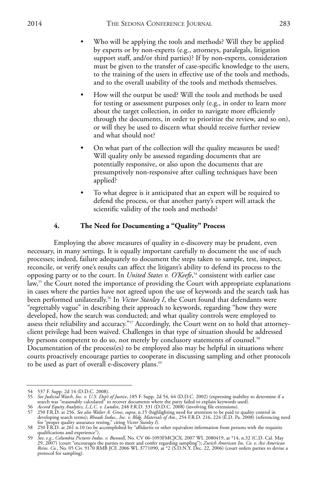- Who will be applying the tools and methods? Will they be applied by experts or by non-experts (e.g., attorneys, paralegals, litigation support staff, and/or third parties)? If by non-experts, consideration must be given to the transfer of case-specific knowledge to the users, to the training of the users in effective use of the tools and methods, and to the overall usability of the tools and methods themselves.
- How will the output be used? Will the tools and methods be used for testing or assessment purposes only (e.g., in order to learn more about the target collection, in order to navigate more efficiently through the documents, in order to prioritize the review, and so on), or will they be used to discern what should receive further review and what should not?
- On what part of the collection will the quality measures be used? Will quality only be assessed regarding documents that are potentially responsive, or also upon the documents that are presumptively non-responsive after culling techniques have been applied?
- To what degree is it anticipated that an expert will be required to defend the process, or that another party's expert will attack the scientific validity of the tools and methods?

#### **4. The Need for Documenting a "Quality" Process**

Employing the above measures of quality in e-discovery may be prudent, even necessary, in many settings. It is equally important carefully to document the use of such processes; indeed, failure adequately to document the steps taken to sample, test, inspect, reconcile, or verify one's results can affect the litigant's ability to defend its process to the opposing party or to the court. In *United States v. O'Keefe*, <sup>54</sup> consistent with earlier case  $\text{law}^{\text{55}}$  the Court noted the importance of providing the Court with appropriate explanations in cases where the parties have not agreed upon the use of keywords and the search task has been performed unilaterally.<sup>56</sup> In *Victor Stanley I*, the Court found that defendants were "regrettably vague" in describing their approach to keywords, regarding "how they were developed, how the search was conducted; and what quality controls were employed to assess their reliability and accuracy."57 Accordingly, the Court went on to hold that attorneyclient privilege had been waived. Challenges in that type of situation should be addressed by persons competent to do so, not merely by conclusory statements of counsel.<sup>58</sup> Documentation of the process(es) to be employed also may be helpful in situations where courts proactively encourage parties to cooperate in discussing sampling and other protocols to be used as part of overall e-discovery plans.<sup>59</sup>

<sup>54 537</sup> F. Supp. 2d 14 (D.D.C. 2008). 55 *See Judicial Watch, Inc. v. U.S. Dep't of Justice*, 185 F. Supp. 2d 54, 64 (D.D.C. 2002) (expressing inability to determine if a

search was "reasonably calculated" to recover documents where the party failed to explain keywords used).<br>
56 Accord Equity Analytics, L.L.C. v. Lundin, 248 F.R.D. 331 (D.D.C. 2008) (involving file extensions).<br>
57 250 F.R

qualifications and experience"). 59 *See*, *e.g.*, *Columbia Pictures Indus. v. Bunnell*, No. CV 06-1093FMCJCX, 2007 WL 2080419, at \*14, n.32 (C.D. Cal. May 29, 2007) (court "encourages the parties to meet and confer regarding sampling"); *Zurich American Ins. Co. v. Ace American Reins. Co.*, No. 05 Civ. 9170 RMB JCF, 2006 WL 3771090, at \*2 (S.D.N.Y. Dec. 22, 2006) (court orders parties to devise a protocol for sampling).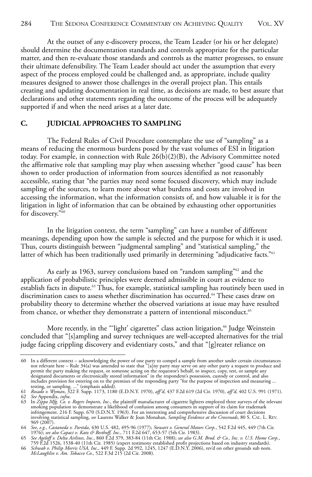At the outset of any e-discovery process, the Team Leader (or his or her delegate) should determine the documentation standards and controls appropriate for the particular matter, and then re-evaluate those standards and controls as the matter progresses, to ensure their ultimate defensibility. The Team Leader should act under the assumption that every aspect of the process employed could be challenged and, as appropriate, include quality measures designed to answer those challenges in the overall project plan. This entails creating and updating documentation in real time, as decisions are made, to best assure that declarations and other statements regarding the outcome of the process will be adequately supported if and when the need arises at a later date.

#### **C. JUDICIAL APPROACHES TO SAMPLING**

The Federal Rules of Civil Procedure contemplate the use of "sampling" as a means of reducing the enormous burdens posed by the vast volumes of ESI in litigation today. For example, in connection with Rule  $26(b)(2)(B)$ , the Advisory Committee noted the affirmative role that sampling may play when assessing whether "good cause" has been shown to order production of information from sources identified as not reasonably accessible, stating that "the parties may need some focused discovery, which may include sampling of the sources, to learn more about what burdens and costs are involved in accessing the information, what the information consists of, and how valuable it is for the litigation in light of information that can be obtained by exhausting other opportunities for discovery."60

In the litigation context, the term "sampling" can have a number of different meanings, depending upon how the sample is selected and the purpose for which it is used. Thus, courts distinguish between "judgmental sampling" and "statistical sampling," the latter of which has been traditionally used primarily in determining "adjudicative facts."<sup>61</sup>

As early as 1963, survey conclusions based on "random sampling"<sup>62</sup> and the application of probabilistic principles were deemed admissible in court as evidence to establish facts in dispute.<sup>63</sup> Thus, for example, statistical sampling has routinely been used in discrimination cases to assess whether discrimination has occurred.<sup>64</sup> These cases draw on probability theory to determine whether the observed variations at issue may have resulted from chance, or whether they demonstrate a pattern of intentional misconduct.<sup>65</sup>

More recently, in the "'light' cigarettes" class action litigation,<sup>66</sup> Judge Weinstein concluded that "[s]ampling and survey techniques are well-accepted alternatives for the trial judge facing crippling discovery and evidentiary costs," and that "[g]reater reliance on

<sup>60</sup> In a different context – acknowledging the power of one party to compel a sample from another under certain circumstances<br>not relevant here – Rule 34(a) was amended to state that "[a]ny party may serve on any other part permit the party making the request, or someone acting on the requestor's behalf, to inspect, copy, test, or sample any<br>designated documents or electronically stored information" in the respondent's possession, custody or

testing, or sampling. ..." (emphasis added).<br>61 *Rosado v. Wyman*, 322 F. Supp. 1173, 1180 (E.D.N.Y. 1970), *aff'd*, 437 F.2d 619 (2d Cir. 1970), *aff'd*, 402 U.S. 991 (1971).<br>62 *See Appendix, infra.* 

<sup>63</sup> In Zippo Mfg. Co. v. Rogers Imports, Inc., the plaintiff manufacturer of cigarette lighters employed three surveys of the relevant smoking population to demonstrate a likelihood of confusion among consumers in support o involving statistical sampling, *see* Laurens Walker & Joan Monahan, *Sampling Evidence at the Crossroads*, 80 S. CAL. L. REV. 969 (2007).

<sup>64</sup> *See*, *e.g.*, *Castaneda v. Partida*, 430 U.S. 482, 495-96 (1977); *Stewart v. General Motors Corp.*, 542 F.2d 445, 449 (7th Cir.

<sup>1976);</sup> *see also Capaci v. Katz & Besthoff, Inc.*, 711 E2d 647, 653-57 (5th Cir. 1983).<br>65 *See Ageloff v. Delta Airlines, Inc.*, 860 E2d 379, 383-84 (11th Cir. 1988); *see also G.M. Brod. & Co., Inc. v. U.S. Home Corp.* 

<sup>66</sup> *Schwab v. Philip Morris USA, Inc*., 449 F. Supp. 2d 992, 1245, 1247 (E.D.N.Y. 2006), rev'd on other grounds sub nom. *McLaughlin v. Am. Tobacco Co*., 522 F.3d 215 (2d Cir. 2008).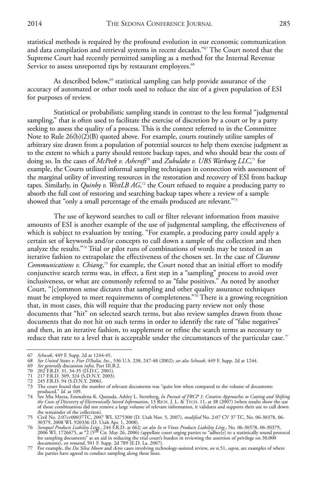statistical methods is required by the profound evolution in our economic communication and data compilation and retrieval systems in recent decades."<sup>67</sup> The Court noted that the Supreme Court had recently permitted sampling as a method for the Internal Revenue Service to assess unreported tips by restaurant employees.<sup>68</sup>

As described below,<sup>69</sup> statistical sampling can help provide assurance of the accuracy of automated or other tools used to reduce the size of a given population of ESI for purposes of review.

Statistical or probabilistic sampling stands in contrast to the less formal "judgmental sampling," that is often used to facilitate the exercise of discretion by a court or by a party seeking to assess the quality of a process. This is the context referred to in the Committee Note to Rule  $26(b)(2)(B)$  quoted above. For example, courts routinely utilize samples of arbitrary size drawn from a population of potential sources to help them exercise judgment as to the extent to which a party should restore backup tapes, and who should bear the costs of doing so. In the cases of *McPeek v. Ashcroft*<sup>70</sup> and *Zubulake v. UBS Warburg LLC*, <sup>71</sup> for example, the Courts utilized informal sampling techniques in connection with assessment of the marginal utility of investing resources in the restoration and recovery of ESI from backup tapes. Similarly, in *Quinby v. WestLB AG*, <sup>72</sup> the Court refused to require a producing party to absorb the full cost of restoring and searching backup tapes where a review of a sample showed that "only a small percentage of the emails produced are relevant."73

The use of keyword searches to cull or filter relevant information from massive amounts of ESI is another example of the use of judgmental sampling, the effectiveness of which is subject to evaluation by testing. "For example, a producing party could apply a certain set of keywords and/or concepts to cull down a sample of the collection and then analyze the results."74 Trial or pilot runs of combinations of words may be tested in an iterative fashion to extrapolate the effectiveness of the chosen set. In the case of *Clearone Communications v. Chiang*, <sup>75</sup> for example, the Court noted that an initial effort to modify conjunctive search terms was, in effect, a first step in a "sampling" process to avoid over inclusiveness, or what are commonly referred to as "false positives." As noted by another Court, "[c]ommon sense dictates that sampling and other quality assurance techniques must be employed to meet requirements of completeness."76 There is a growing recognition that, in most cases, this will require that the producing party review not only those documents that "hit" on selected search terms, but also review samples drawn from those documents that do not hit on such terms in order to identify the rate of "false negatives" and then, in an iterative fashion, to supplement or refine the search terms as necessary to reduce that rate to a level that is acceptable under the circumstances of the particular case.<sup>77</sup>

<sup>67</sup> *Schwab*, 449 F. Supp. 2d at 1244-45.

<sup>68</sup> *See United States v. Fior D'Italia, Inc.*, 536 U.S. 238, 247-48 (2002); *see also Schwab*, 449 F. Supp. 2d at 1244.

<sup>69</sup> *See generally* discussion *infra*, Part III.B.2.

<sup>70 202</sup> F.R.D. 31, 34-35 (D.D.C. 2001). 71 217 F.R.D. 309, 324 (S.D.N.Y. 2003). 72 245 F.R.D. 94 (S.D.N.Y. 2006).

<sup>73</sup> The court found that the number of relevant documents was "quite low when compared to the volume of documents

produced." Id. at 109.<br>74 See Mia Mazza, Emmalena K. Quesada, Ashley L. Sternberg, *In Pursuit of FRCP 1: Creative Approaches to Cutting and Shifting*<br>*the Costs of Discovery of Electronically Stored Information,* 13 RICH. of those combinations did not remove a large volume of relevant information, it validates and supports their use to cull down the remainder of the collection).

<sup>75</sup> Civil No. 2:07cv00037TC, 2007 WL 3275300 (D. Utah Nov. 5, 2007), *modified* No. 2:07 CV 37 TC, No. 06-30378, 06- 30379, 2008 WL 920336 (D. Utah Apr. 1, 2008).

<sup>76</sup> *Seroquel Products Liability Litig*, 244 F.R.D. at 662; *see also In re Vioxx Products Liability Litig*, No. 06-30378, 06-30379, 2006 WL 1726675, at \*2 (5<sup>th</sup> Cir. May 26, 2006) (appellate court urging parties to "adher

<sup>77</sup> For example, the *Da Silva Moore* and *Actos* cases involving technology-assisted review, *see* n.51, *supra*, are examples of where the parties have agreed to conduct sampling along these lines.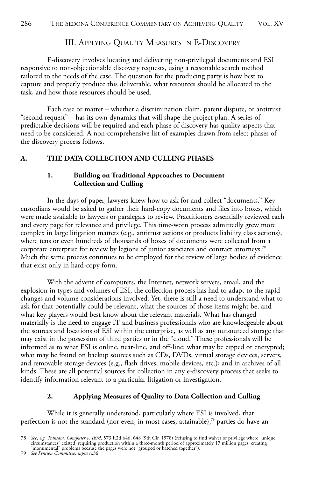#### III. APPLYING QUALITY MEASURES IN E-DISCOVERY

E-discovery involves locating and delivering non-privileged documents and ESI responsive to non-objectionable discovery requests, using a reasonable search method tailored to the needs of the case. The question for the producing party is how best to capture and properly produce this deliverable, what resources should be allocated to the task, and how those resources should be used.

Each case or matter – whether a discrimination claim, patent dispute, or antitrust "second request" – has its own dynamics that will shape the project plan. A series of predictable decisions will be required and each phase of discovery has quality aspects that need to be considered. A non-comprehensive list of examples drawn from select phases of the discovery process follows.

#### **A. THE DATA COLLECTION AND CULLING PHASES**

#### **1. Building on Traditional Approaches to Document Collection and Culling**

In the days of paper, lawyers knew how to ask for and collect "documents." Key custodians would be asked to gather their hard-copy documents and files into boxes, which were made available to lawyers or paralegals to review. Practitioners essentially reviewed each and every page for relevance and privilege. This time-worn process admittedly grew more complex in large litigation matters (e.g., antitrust actions or products liability class actions), where tens or even hundreds of thousands of boxes of documents were collected from a corporate enterprise for review by legions of junior associates and contract attorneys.78 Much the same process continues to be employed for the review of large bodies of evidence that exist only in hard-copy form.

With the advent of computers, the Internet, network servers, email, and the explosion in types and volumes of ESI, the collection process has had to adapt to the rapid changes and volume considerations involved. Yet, there is still a need to understand what to ask for that potentially could be relevant, what the sources of those items might be, and what key players would best know about the relevant materials. What has changed materially is the need to engage IT and business professionals who are knowledgeable about the sources and locations of ESI within the enterprise, as well as any outsourced storage that may exist in the possession of third parties or in the "cloud." These professionals will be informed as to what ESI is online, near-line, and off-line; what may be zipped or encrypted; what may be found on backup sources such as CDs, DVDs, virtual storage devices, servers, and removable storage devices (e.g., flash drives, mobile devices, etc.); and in archives of all kinds. These are all potential sources for collection in any e-discovery process that seeks to identify information relevant to a particular litigation or investigation.

### **2. Applying Measures of Quality to Data Collection and Culling**

While it is generally understood, particularly where ESI is involved, that perfection is not the standard (nor even, in most cases, attainable), $\bar{y}$  parties do have an

See, e.g. Transam. Computer v. IBM, 573 F.2d 646, 648 (9th Cir. 1978) (refusing to find waiver of privilege where "unique circumstances" existed, requiring production within a three-month period of approximately 17 million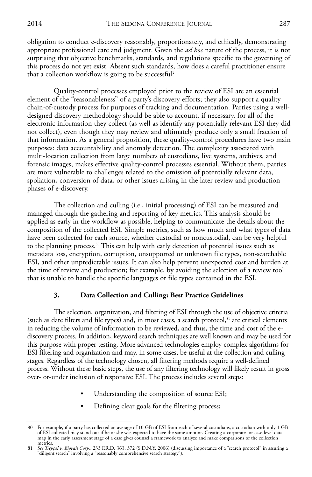obligation to conduct e-discovery reasonably, proportionately, and ethically, demonstrating appropriate professional care and judgment. Given the *ad hoc* nature of the process, it is not surprising that objective benchmarks, standards, and regulations specific to the governing of this process do not yet exist. Absent such standards, how does a careful practitioner ensure that a collection workflow is going to be successful?

Quality-control processes employed prior to the review of ESI are an essential element of the "reasonableness" of a party's discovery efforts; they also support a quality chain-of-custody process for purposes of tracking and documentation. Parties using a welldesigned discovery methodology should be able to account, if necessary, for all of the electronic information they collect (as well as identify any potentially relevant ESI they did not collect), even though they may review and ultimately produce only a small fraction of that information. As a general proposition, these quality-control procedures have two main purposes: data accountability and anomaly detection. The complexity associated with multi-location collection from large numbers of custodians, live systems, archives, and forensic images, makes effective quality-control processes essential. Without them, parties are more vulnerable to challenges related to the omission of potentially relevant data, spoliation, conversion of data, or other issues arising in the later review and production phases of e-discovery.

The collection and culling (i.e., initial processing) of ESI can be measured and managed through the gathering and reporting of key metrics. This analysis should be applied as early in the workflow as possible, helping to communicate the details about the composition of the collected ESI. Simple metrics, such as how much and what types of data have been collected for each source, whether custodial or noncustodial, can be very helpful to the planning process.<sup>80</sup> This can help with early detection of potential issues such as metadata loss, encryption, corruption, unsupported or unknown file types, non-searchable ESI, and other unpredictable issues. It can also help prevent unexpected cost and burden at the time of review and production; for example, by avoiding the selection of a review tool that is unable to handle the specific languages or file types contained in the ESI.

#### **3. Data Collection and Culling: Best Practice Guidelines**

The selection, organization, and filtering of ESI through the use of objective criteria (such as date filters and file types) and, in most cases, a search protocol,<sup>81</sup> are critical elements in reducing the volume of information to be reviewed, and thus, the time and cost of the ediscovery process. In addition, keyword search techniques are well known and may be used for this purpose with proper testing. More advanced technologies employ complex algorithms for ESI filtering and organization and may, in some cases, be useful at the collection and culling stages. Regardless of the technology chosen, all filtering methods require a well-defined process. Without these basic steps, the use of any filtering technology will likely result in gross over- or-under inclusion of responsive ESI. The process includes several steps:

- Understanding the composition of source ESI;
- Defining clear goals for the filtering process;

<sup>80</sup> For example, if a party has collected an average of 10 GB of ESI from each of several custodians, a custodian with only 1 GB of ESI collected may stand out if he or she was expected to have the same amount. Creating a corporate- or case-level data<br>map in the early assessment stage of a case gives counsel a framework to analyze and make compariso metrics.

<sup>81</sup> *See Treppel v. Biovail Corp.*, 233 F.R.D. 363, 372 (S.D.N.Y. 2006) (discussing importance of a "search protocol" in assuring a "diligent search" involving a "reasonably comprehensive search strategy").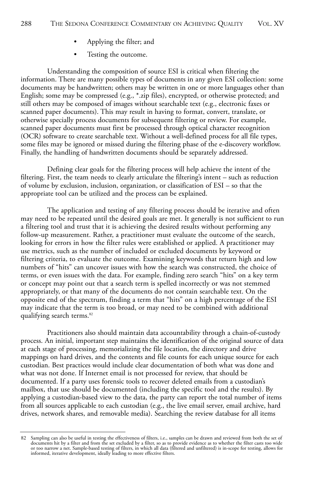- Applying the filter; and
- Testing the outcome.

Understanding the composition of source ESI is critical when filtering the information. There are many possible types of documents in any given ESI collection: some documents may be handwritten; others may be written in one or more languages other than English; some may be compressed (e.g., \*.zip files), encrypted, or otherwise protected; and still others may be composed of images without searchable text (e.g., electronic faxes or scanned paper documents). This may result in having to format, convert, translate, or otherwise specially process documents for subsequent filtering or review. For example, scanned paper documents must first be processed through optical character recognition (OCR) software to create searchable text. Without a well-defined process for all file types, some files may be ignored or missed during the filtering phase of the e-discovery workflow. Finally, the handling of handwritten documents should be separately addressed.

Defining clear goals for the filtering process will help achieve the intent of the filtering. First, the team needs to clearly articulate the filtering's intent – such as reduction of volume by exclusion, inclusion, organization, or classification of ESI – so that the appropriate tool can be utilized and the process can be explained.

The application and testing of any filtering process should be iterative and often may need to be repeated until the desired goals are met. It generally is not sufficient to run a filtering tool and trust that it is achieving the desired results without performing any follow-up measurement. Rather, a practitioner must evaluate the outcome of the search, looking for errors in how the filter rules were established or applied. A practitioner may use metrics, such as the number of included or excluded documents by keyword or filtering criteria, to evaluate the outcome. Examining keywords that return high and low numbers of "hits" can uncover issues with how the search was constructed, the choice of terms, or even issues with the data. For example, finding zero search "hits" on a key term or concept may point out that a search term is spelled incorrectly or was not stemmed appropriately, or that many of the documents do not contain searchable text. On the opposite end of the spectrum, finding a term that "hits" on a high percentage of the ESI may indicate that the term is too broad, or may need to be combined with additional qualifying search terms.<sup>82</sup>

Practitioners also should maintain data accountability through a chain-of-custody process. An initial, important step maintains the identification of the original source of data at each stage of processing, memorializing the file location, the directory and drive mappings on hard drives, and the contents and file counts for each unique source for each custodian. Best practices would include clear documentation of both what was done and what was not done. If Internet email is not processed for review, that should be documented. If a party uses forensic tools to recover deleted emails from a custodian's mailbox, that use should be documented (including the specific tool and the results). By applying a custodian-based view to the data, the party can report the total number of items from all sources applicable to each custodian (e.g., the live email server, email archive, hard drives, network shares, and removable media). Searching the review database for all items

<sup>82</sup> Sampling can also be useful in testing the effectiveness of filters, i.e., samples can be drawn and reviewed from both the set of documents hit by a filter and from the set excluded by a filter, so as to provide evidenc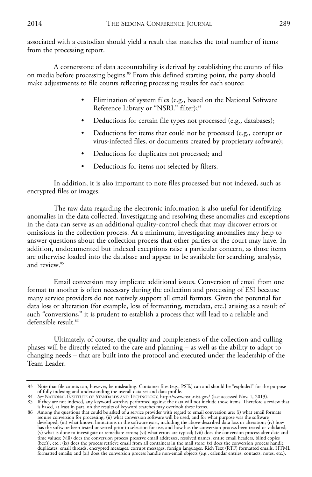associated with a custodian should yield a result that matches the total number of items from the processing report.

A cornerstone of data accountability is derived by establishing the counts of files on media before processing begins.<sup>83</sup> From this defined starting point, the party should make adjustments to file counts reflecting processing results for each source:

- Elimination of system files (e.g., based on the National Software Reference Library or "NSRL" filter);<sup>84</sup>
- Deductions for certain file types not processed (e.g., databases);
- Deductions for items that could not be processed (e.g., corrupt or virus-infected files, or documents created by proprietary software);
- Deductions for duplicates not processed; and
- Deductions for items not selected by filters.

In addition, it is also important to note files processed but not indexed, such as encrypted files or images.

The raw data regarding the electronic information is also useful for identifying anomalies in the data collected. Investigating and resolving these anomalies and exceptions in the data can serve as an additional quality-control check that may discover errors or omissions in the collection process. At a minimum, investigating anomalies may help to answer questions about the collection process that other parties or the court may have. In addition, undocumented but indexed exceptions raise a particular concern, as those items are otherwise loaded into the database and appear to be available for searching, analysis, and review.85

Email conversion may implicate additional issues. Conversion of email from one format to another is often necessary during the collection and processing of ESI because many service providers do not natively support all email formats. Given the potential for data loss or alteration (for example, loss of formatting, metadata, etc.) arising as a result of such "conversions," it is prudent to establish a process that will lead to a reliable and defensible result.<sup>86</sup>

Ultimately, of course, the quality and completeness of the collection and culling phases will be directly related to the care and planning – as well as the ability to adapt to changing needs – that are built into the protocol and executed under the leadership of the Team Leader.

<sup>83</sup> Note that file counts can, however, be misleading. Container files (e.g., PSTs) can and should be "exploded" for the purpose<br>6 fully indexing and understanding the overall data set and data profile.<br>84 See NATIONAL INST

<sup>85</sup> If they are not indexed, any keyword searches performed against the data will not include those items. Therefore a review that

is based, at least in part, on the results of keyword searches may overlook these items. 86 Among the questions that could be asked of a service provider with regard to email conversion are: (i) what email formats require conversion for processing; (ii) what conversion software will be used, and for what purpose was the software<br>developed; (iii) what known limitations in the software exist, including the above-described data loss or has the software been tested or vetted prior to selection for use, and how has the conversion process been tested or validated; (v) what is done to investigate or remediate errors; (vi) what errors are typical; (vii) does the conversion process alter date and<br>time values; (viii) does the conversion process preserve email addresses, resolved names, duplicates, email threads, encrypted messages, corrupt messages, foreign languages, Rich Text (RTF) formatted emails, HTML<br>formatted emails; and (xi) does the conversion process handle non-email objects (e.g., calendar ent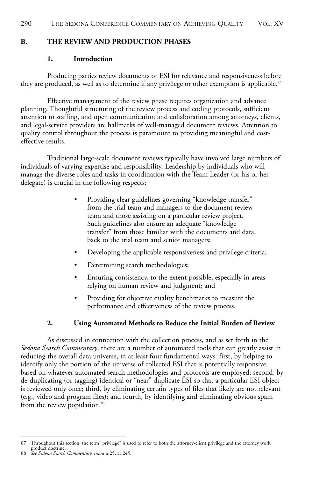#### **B. THE REVIEW AND PRODUCTION PHASES**

#### **1. Introduction**

Producing parties review documents or ESI for relevance and responsiveness before they are produced, as well as to determine if any privilege or other exemption is applicable.<sup>87</sup>

Effective management of the review phase requires organization and advance planning. Thoughtful structuring of the review process and coding protocols, sufficient attention to staffing, and open communication and collaboration among attorneys, clients, and legal-service providers are hallmarks of well-managed document reviews. Attention to quality control throughout the process is paramount to providing meaningful and costeffective results.

Traditional large-scale document reviews typically have involved large numbers of individuals of varying expertise and responsibility. Leadership by individuals who will manage the diverse roles and tasks in coordination with the Team Leader (or his or her delegate) is crucial in the following respects:

- Providing clear guidelines governing "knowledge transfer" from the trial team and managers to the document review team and those assisting on a particular review project. Such guidelines also ensure an adequate "knowledge transfer" from those familiar with the documents and data, back to the trial team and senior managers;
- Developing the applicable responsiveness and privilege criteria;
- Determining search methodologies;
- Ensuring consistency, to the extent possible, especially in areas relying on human review and judgment; and
- Providing for objective quality benchmarks to measure the performance and effectiveness of the review process.

#### **2. Using Automated Methods to Reduce the Initial Burden of Review**

As discussed in connection with the collection process, and as set forth in the *Sedona Search Commentary*, there are a number of automated tools that can greatly assist in reducing the overall data universe, in at least four fundamental ways: first, by helping to identify only the portion of the universe of collected ESI that is potentially responsive, based on whatever automated search methodologies and protocols are employed; second, by de-duplicating (or tagging) identical or "near" duplicate ESI so that a particular ESI object is reviewed only once; third, by eliminating certain types of files that likely are not relevant (e.g., video and program files); and fourth, by identifying and eliminating obvious spam from the review population.<sup>88</sup>

<sup>87</sup> Throughout this section, the term "privilege" is used to refer to both the attorney-client privilege and the attorney work product doctrine. 88 *See Sedona Search Commentary, supra* n.25, at 245.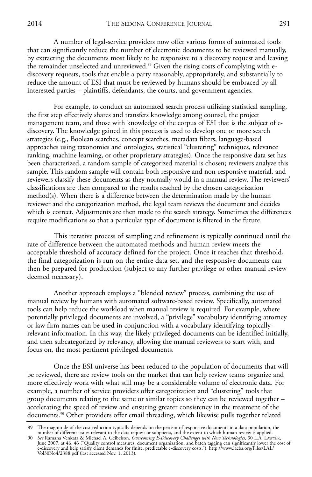A number of legal-service providers now offer various forms of automated tools that can significantly reduce the number of electronic documents to be reviewed manually, by extracting the documents most likely to be responsive to a discovery request and leaving the remainder unselected and unreviewed.<sup>89</sup> Given the rising costs of complying with ediscovery requests, tools that enable a party reasonably, appropriately, and substantially to reduce the amount of ESI that must be reviewed by humans should be embraced by all interested parties – plaintiffs, defendants, the courts, and government agencies.

For example, to conduct an automated search process utilizing statistical sampling, the first step effectively shares and transfers knowledge among counsel, the project management team, and those with knowledge of the corpus of ESI that is the subject of ediscovery. The knowledge gained in this process is used to develop one or more search strategies (e.g*.*, Boolean searches, concept searches, metadata filters, language-based approaches using taxonomies and ontologies, statistical "clustering" techniques, relevance ranking, machine learning, or other proprietary strategies). Once the responsive data set has been characterized, a random sample of categorized material is chosen; reviewers analyze this sample. This random sample will contain both responsive and non-responsive material, and reviewers classify these documents as they normally would in a manual review. The reviewers' classifications are then compared to the results reached by the chosen categorization method(s). When there is a difference between the determination made by the human reviewer and the categorization method, the legal team reviews the document and decides which is correct. Adjustments are then made to the search strategy. Sometimes the differences require modifications so that a particular type of document is filtered in the future.

This iterative process of sampling and refinement is typically continued until the rate of difference between the automated methods and human review meets the acceptable threshold of accuracy defined for the project. Once it reaches that threshold, the final categorization is run on the entire data set, and the responsive documents can then be prepared for production (subject to any further privilege or other manual review deemed necessary).

Another approach employs a "blended review" process, combining the use of manual review by humans with automated software-based review. Specifically, automated tools can help reduce the workload when manual review is required. For example, where potentially privileged documents are involved, a "privilege" vocabulary identifying attorney or law firm names can be used in conjunction with a vocabulary identifying topicallyrelevant information. In this way, the likely privileged documents can be identified initially, and then subcategorized by relevancy, allowing the manual reviewers to start with, and focus on, the most pertinent privileged documents.

Once the ESI universe has been reduced to the population of documents that will be reviewed, there are review tools on the market that can help review teams organize and more effectively work with what still may be a considerable volume of electronic data. For example, a number of service providers offer categorization and "clustering" tools that group documents relating to the same or similar topics so they can be reviewed together – accelerating the speed of review and ensuring greater consistency in the treatment of the documents.90 Other providers offer email threading, which likewise pulls together related

<sup>89</sup> The magnitude of the cost reduction typically depends on the percent of responsive documents in a data population, the

number of different issues relevant to the data request or subpoena, and the extent to which human review is applied.<br>90 See Ramana Venkata & Michael A. Geibelson, *Overcoming E-Discovery Challenges with New Technologie*s, e-discovery and help satisfy client demands for finite, predictable e-discovery costs."), http://www.lacba.org/Files/LAL/ Vol30No4/2388.pdf (last accessed Nov. 1, 2013).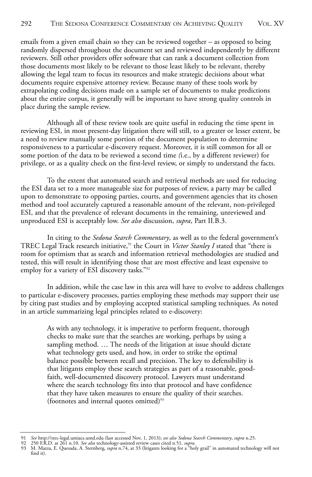emails from a given email chain so they can be reviewed together – as opposed to being randomly dispersed throughout the document set and reviewed independently by different reviewers. Still other providers offer software that can rank a document collection from those documents most likely to be relevant to those least likely to be relevant, thereby allowing the legal team to focus its resources and make strategic decisions about what documents require expensive attorney review. Because many of these tools work by extrapolating coding decisions made on a sample set of documents to make predictions about the entire corpus, it generally will be important to have strong quality controls in place during the sample review.

Although all of these review tools are quite useful in reducing the time spent in reviewing ESI, in most present-day litigation there will still, to a greater or lesser extent, be a need to review manually some portion of the document population to determine responsiveness to a particular e-discovery request. Moreover, it is still common for all or some portion of the data to be reviewed a second time *(*i.e., by a different reviewer) for privilege, or as a quality check on the first-level review, or simply to understand the facts.

To the extent that automated search and retrieval methods are used for reducing the ESI data set to a more manageable size for purposes of review, a party may be called upon to demonstrate to opposing parties, courts, and government agencies that its chosen method and tool accurately captured a reasonable amount of the relevant, non-privileged ESI, and that the prevalence of relevant documents in the remaining, unreviewed and unproduced ESI is acceptably low. *See also* discussion, *supra*, Part II.B.3.

In citing to the *Sedona Search Commentary*, as well as to the federal government's TREC Legal Track research initiative,<sup>91</sup> the Court in *Victor Stanley I* stated that "there is room for optimism that as search and information retrieval methodologies are studied and tested, this will result in identifying those that are most effective and least expensive to employ for a variety of ESI discovery tasks."92

In addition, while the case law in this area will have to evolve to address challenges to particular e-discovery processes, parties employing these methods may support their use by citing past studies and by employing accepted statistical sampling techniques. As noted in an article summarizing legal principles related to e-discovery:

As with any technology, it is imperative to perform frequent, thorough checks to make sure that the searches are working, perhaps by using a sampling method. … The needs of the litigation at issue should dictate what technology gets used, and how, in order to strike the optimal balance possible between recall and precision. The key to defensibility is that litigants employ these search strategies as part of a reasonable, goodfaith, well-documented discovery protocol. Lawyers must understand where the search technology fits into that protocol and have confidence that they have taken measures to ensure the quality of their searches. (footnotes and internal quotes omitted)<sup>93</sup>

<sup>91</sup> *See* http://trec-legal.umiacs.umd.edu (last accessed Nov, 1, 2013); *see also Sedona Search Commentary, supra* n.25.<br>92 250 F.R.D. at 261 n.10. *See also* technology-assisted review cases cited n.51, *supra.*<br>93 M. find it).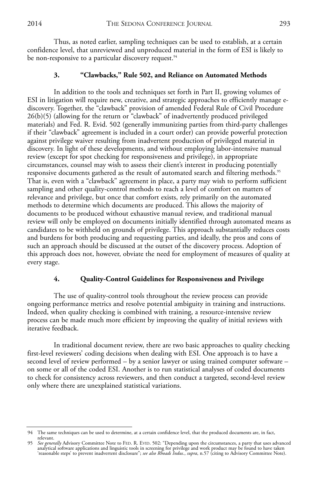Thus, as noted earlier, sampling techniques can be used to establish, at a certain confidence level, that unreviewed and unproduced material in the form of ESI is likely to be non-responsive to a particular discovery request.<sup>94</sup>

#### **3. "Clawbacks," Rule 502, and Reliance on Automated Methods**

In addition to the tools and techniques set forth in Part II, growing volumes of ESI in litigation will require new, creative, and strategic approaches to efficiently manage ediscovery. Together, the "clawback" provision of amended Federal Rule of Civil Procedure 26(b)(5) (allowing for the return or "clawback" of inadvertently produced privileged materials) and Fed. R. Evid. 502 (generally immunizing parties from third-party challenges if their "clawback" agreement is included in a court order) can provide powerful protection against privilege waiver resulting from inadvertent production of privileged material in discovery. In light of these developments, and without employing labor-intensive manual review (except for spot checking for responsiveness and privilege), in appropriate circumstances, counsel may wish to assess their client's interest in producing potentially responsive documents gathered as the result of automated search and filtering methods.<sup>95</sup> That is, even with a "clawback" agreement in place, a party may wish to perform sufficient sampling and other quality-control methods to reach a level of comfort on matters of relevance and privilege, but once that comfort exists, rely primarily on the automated methods to determine which documents are produced. This allows the majority of documents to be produced without exhaustive manual review, and traditional manual review will only be employed on documents initially identified through automated means as candidates to be withheld on grounds of privilege. This approach substantially reduces costs and burdens for both producing and requesting parties, and ideally, the pros and cons of such an approach should be discussed at the outset of the discovery process. Adoption of this approach does not, however, obviate the need for employment of measures of quality at every stage.

#### **4. Quality-Control Guidelines for Responsiveness and Privilege**

The use of quality-control tools throughout the review process can provide ongoing performance metrics and resolve potential ambiguity in training and instructions. Indeed, when quality checking is combined with training, a resource-intensive review process can be made much more efficient by improving the quality of initial reviews with iterative feedback.

In traditional document review, there are two basic approaches to quality checking first-level reviewers' coding decisions when dealing with ESI. One approach is to have a second level of review performed – by a senior lawyer or using trained computer software – on some or all of the coded ESI. Another is to run statistical analyses of coded documents to check for consistency across reviewers, and then conduct a targeted, second-level review only where there are unexplained statistical variations.

<sup>94</sup> The same techniques can be used to determine, at a certain confidence level, that the produced documents are, in fact, relevant.

See generally Advisory Committee Note to FED. R. EVID. 502: "Depending upon the circumstances, a party that uses advanced analytical software applications and linguistic tools in screening for privilege and work product may be found to have taken<br>'reasonable steps' to prevent inadvertent disclosure''; *see also Rhoads Indus., supra,* n.57 (ci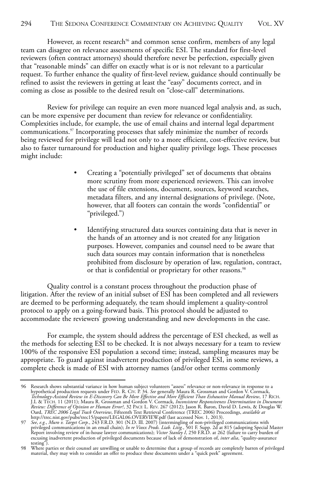However, as recent research<sup>96</sup> and common sense confirm, members of any legal team can disagree on relevance assessments of specific ESI. The standard for first-level reviewers (often contract attorneys) should therefore never be perfection, especially given that "reasonable minds" can differ on exactly what is or is not relevant to a particular request. To further enhance the quality of first-level review, guidance should continually be refined to assist the reviewers in getting at least the "easy" documents correct, and in coming as close as possible to the desired result on "close-call" determinations.

Review for privilege can require an even more nuanced legal analysis and, as such, can be more expensive per document than review for relevance or confidentiality. Complexities include, for example, the use of email chains and internal legal department communications.97 Incorporating processes that safely minimize the number of records being reviewed for privilege will lead not only to a more efficient, cost-effective review, but also to faster turnaround for production and higher quality privilege logs. These processes might include:

- Creating a "potentially privileged" set of documents that obtains more scrutiny from more experienced reviewers. This can involve the use of file extensions, document, sources, keyword searches, metadata filters, and any internal designations of privilege. (Note, however, that all footers can contain the words "confidential" or "privileged.")
- Identifying structured data sources containing data that is never in the hands of an attorney and is not created for any litigation purposes. However, companies and counsel need to be aware that such data sources may contain information that is nonetheless prohibited from disclosure by operation of law, regulation, contract, or that is confidential or proprietary for other reasons.<sup>98</sup>

Quality control is a constant process throughout the production phase of litigation. After the review of an initial subset of ESI has been completed and all reviewers are deemed to be performing adequately, the team should implement a quality-control protocol to apply on a going-forward basis. This protocol should be adjusted to accommodate the reviewers' growing understanding and new developments in the case.

For example, the system should address the percentage of ESI checked, as well as the methods for selecting ESI to be checked. It is not always necessary for a team to review 100% of the responsive ESI population a second time; instead, sampling measures may be appropriate. To guard against inadvertent production of privileged ESI, in some reviews, a complete check is made of ESI with attorney names (and/or other terms commonly

<sup>96</sup> Research shows substantial variance in how human subject volunteers "assess" relevance or non-relevance in response to a<br>hypothetical production requests under FED. R. CIV. P. 34. See generally Maura R. Grossman and Gor Technology-Assisted Review in E-Discovery Can Be More Effective and More Efficient Than Exhaustive Manual Review, 17 RICH.<br>
J. & TECH. I. I (2011); Maura R. Grossman and Gordon V. Cormack, Inconsistent Responsiveness Deter

testing").

<sup>98</sup> Where parties or their counsel are unwilling or unable to determine that a group of records are completely barren of privileged material, they may wish to consider an offer to produce these documents under a "quick peek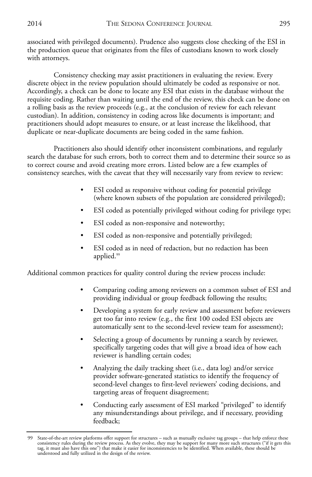associated with privileged documents). Prudence also suggests close checking of the ESI in the production queue that originates from the files of custodians known to work closely with attorneys.

Consistency checking may assist practitioners in evaluating the review. Every discrete object in the review population should ultimately be coded as responsive or not. Accordingly, a check can be done to locate any ESI that exists in the database without the requisite coding. Rather than waiting until the end of the review, this check can be done on a rolling basis as the review proceeds (e.g., at the conclusion of review for each relevant custodian). In addition, consistency in coding across like documents is important; and practitioners should adopt measures to ensure, or at least increase the likelihood, that duplicate or near-duplicate documents are being coded in the same fashion.

Practitioners also should identify other inconsistent combinations, and regularly search the database for such errors, both to correct them and to determine their source so as to correct course and avoid creating more errors. Listed below are a few examples of consistency searches, with the caveat that they will necessarily vary from review to review:

- ESI coded as responsive without coding for potential privilege (where known subsets of the population are considered privileged);
- ESI coded as potentially privileged without coding for privilege type;
- ESI coded as non-responsive and noteworthy;
- ESI coded as non-responsive and potentially privileged;
- ESI coded as in need of redaction, but no redaction has been applied.<sup>99</sup>

Additional common practices for quality control during the review process include:

- Comparing coding among reviewers on a common subset of ESI and providing individual or group feedback following the results;
- Developing a system for early review and assessment before reviewers get too far into review (e.g., the first 100 coded ESI objects are automatically sent to the second-level review team for assessment);
- Selecting a group of documents by running a search by reviewer, specifically targeting codes that will give a broad idea of how each reviewer is handling certain codes;
- Analyzing the daily tracking sheet (i.e., data log) and/or service provider software-generated statistics to identify the frequency of second-level changes to first-level reviewers' coding decisions, and targeting areas of frequent disagreement;
- Conducting early assessment of ESI marked "privileged" to identify any misunderstandings about privilege, and if necessary, providing feedback;

<sup>99</sup> State-of-the-art review platforms offer support for structures – such as mutually exclusive tag groups – that help enforce these consistency rules during the review process. As they evolve, they may be support for many more such structures ("if it gets this tag, it must also have this one") that make it easier for inconsistencies to be identified. When available, these should be understood and fully utilized in the design of the review.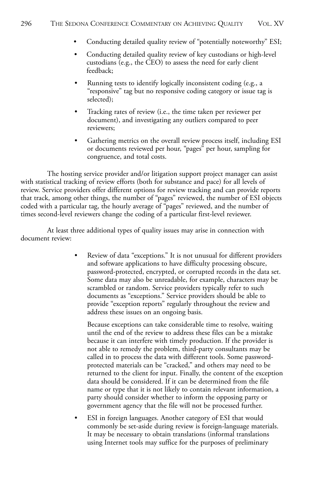- Conducting detailed quality review of "potentially noteworthy" ESI;
- Conducting detailed quality review of key custodians or high-level custodians (e.g., the CEO) to assess the need for early client feedback;
- Running tests to identify logically inconsistent coding (e.g., a "responsive" tag but no responsive coding category or issue tag is selected);
- Tracking rates of review (i.e., the time taken per reviewer per document), and investigating any outliers compared to peer reviewers;
- Gathering metrics on the overall review process itself, including ESI or documents reviewed per hour, "pages" per hour, sampling for congruence, and total costs.

The hosting service provider and/or litigation support project manager can assist with statistical tracking of review efforts (both for substance and pace) for all levels of review. Service providers offer different options for review tracking and can provide reports that track, among other things, the number of "pages" reviewed, the number of ESI objects coded with a particular tag, the hourly average of "pages" reviewed, and the number of times second-level reviewers change the coding of a particular first-level reviewer.

At least three additional types of quality issues may arise in connection with document review:

> • Review of data "exceptions." It is not unusual for different providers and software applications to have difficulty processing obscure, password-protected, encrypted, or corrupted records in the data set. Some data may also be unreadable, for example, characters may be scrambled or random. Service providers typically refer to such documents as "exceptions." Service providers should be able to provide "exception reports" regularly throughout the review and address these issues on an ongoing basis.

Because exceptions can take considerable time to resolve, waiting until the end of the review to address these files can be a mistake because it can interfere with timely production. If the provider is not able to remedy the problem, third-party consultants may be called in to process the data with different tools. Some passwordprotected materials can be "cracked," and others may need to be returned to the client for input. Finally, the content of the exception data should be considered. If it can be determined from the file name or type that it is not likely to contain relevant information, a party should consider whether to inform the opposing party or government agency that the file will not be processed further.

ESI in foreign languages. Another category of ESI that would commonly be set-aside during review is foreign-language materials. It may be necessary to obtain translations (informal translations using Internet tools may suffice for the purposes of preliminary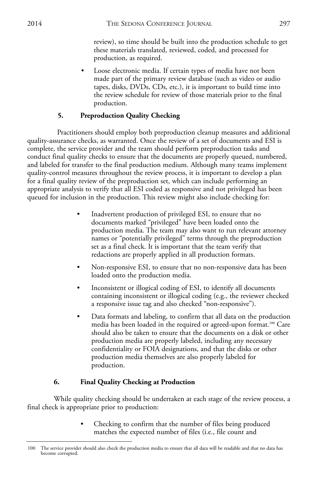review), so time should be built into the production schedule to get these materials translated, reviewed, coded, and processed for production, as required.

• Loose electronic media. If certain types of media have not been made part of the primary review database (such as video or audio tapes, disks, DVDs, CDs, etc.), it is important to build time into the review schedule for review of those materials prior to the final production.

#### **5. Preproduction Quality Checking**

Practitioners should employ both preproduction cleanup measures and additional quality-assurance checks, as warranted. Once the review of a set of documents and ESI is complete, the service provider and the team should perform preproduction tasks and conduct final quality checks to ensure that the documents are properly queued, numbered, and labeled for transfer to the final production medium. Although many teams implement quality-control measures throughout the review process, it is important to develop a plan for a final quality review of the preproduction set, which can include performing an appropriate analysis to verify that all ESI coded as responsive and not privileged has been queued for inclusion in the production. This review might also include checking for:

- Inadvertent production of privileged ESI, to ensure that no documents marked "privileged" have been loaded onto the production media. The team may also want to run relevant attorney names or "potentially privileged" terms through the preproduction set as a final check. It is important that the team verify that redactions are properly applied in all production formats.
- Non-responsive ESI, to ensure that no non-responsive data has been loaded onto the production media.
- Inconsistent or illogical coding of ESI, to identify all documents containing inconsistent or illogical coding (e.g., the reviewer checked a responsive issue tag and also checked "non-responsive").
- Data formats and labeling, to confirm that all data on the production media has been loaded in the required or agreed-upon format.<sup>100</sup> Care should also be taken to ensure that the documents on a disk or other production media are properly labeled, including any necessary confidentiality or FOIA designations, and that the disks or other production media themselves are also properly labeled for production.

### **6. Final Quality Checking at Production**

While quality checking should be undertaken at each stage of the review process, a final check is appropriate prior to production:

> Checking to confirm that the number of files being produced matches the expected number of files (i.e., file count and

<sup>100</sup> The service provider should also check the production media to ensure that all data will be readable and that no data has become corrupted.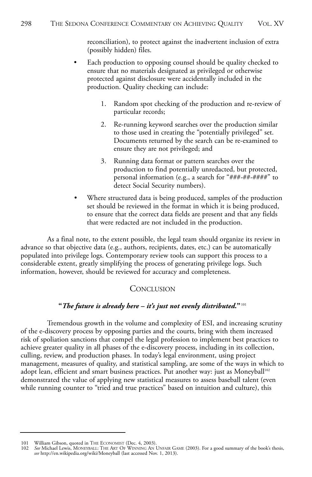reconciliation), to protect against the inadvertent inclusion of extra (possibly hidden) files.

- Each production to opposing counsel should be quality checked to ensure that no materials designated as privileged or otherwise protected against disclosure were accidentally included in the production. Quality checking can include:
	- 1. Random spot checking of the production and re-review of particular records;
	- 2. Re-running keyword searches over the production similar to those used in creating the "potentially privileged" set. Documents returned by the search can be re-examined to ensure they are not privileged; and
	- 3. Running data format or pattern searches over the production to find potentially unredacted, but protected, personal information (e.g., a search for "###-##-####" to detect Social Security numbers).
- Where structured data is being produced, samples of the production set should be reviewed in the format in which it is being produced, to ensure that the correct data fields are present and that any fields that were redacted are not included in the production.

As a final note, to the extent possible, the legal team should organize its review in advance so that objective data (e.g., authors, recipients, dates, etc.) can be automatically populated into privilege logs. Contemporary review tools can support this process to a considerable extent, greatly simplifying the process of generating privilege logs. Such information, however, should be reviewed for accuracy and completeness.

#### **CONCLUSION**

#### **"***The future is already here – it's just not evenly distributed.***"** <sup>101</sup>

Tremendous growth in the volume and complexity of ESI, and increasing scrutiny of the e-discovery process by opposing parties and the courts, bring with them increased risk of spoliation sanctions that compel the legal profession to implement best practices to achieve greater quality in all phases of the e-discovery process, including in its collection, culling, review, and production phases. In today's legal environment, using project management, measures of quality, and statistical sampling, are some of the ways in which to adopt lean, efficient and smart business practices. Put another way: just as Moneyball<sup>102</sup> demonstrated the value of applying new statistical measures to assess baseball talent (even while running counter to "tried and true practices" based on intuition and culture), this

<sup>101</sup> William Gibson, quoted in THE ECONOMIST (Dec. 4, 2003).<br>102 See Michael Lewis, MONEYBALL: THE ART OF WINNING AN I

<sup>102</sup> *See* Michael Lewis, MONEYBALL: THE ART OF WINNING AN UNFAIR GAME (2003). For a good summary of the book's thesis, *see* http://en.wikipedia.org/wiki/Moneyball (last accessed Nov. 1, 2013).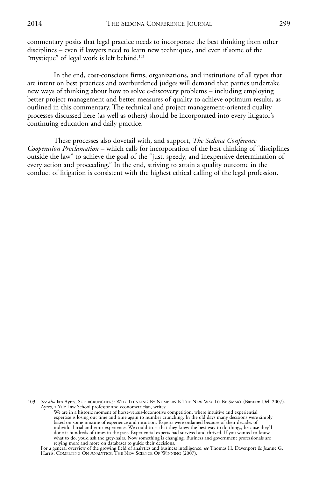In the end, cost-conscious firms, organizations, and institutions of all types that are intent on best practices and overburdened judges will demand that parties undertake new ways of thinking about how to solve e-discovery problems – including employing better project management and better measures of quality to achieve optimum results, as outlined in this commentary. The technical and project management-oriented quality processes discussed here (as well as others) should be incorporated into every litigator's continuing education and daily practice.

These processes also dovetail with, and support, *The Sedona Conference Cooperation Proclamation* – which calls for incorporation of the best thinking of "disciplines outside the law" to achieve the goal of the "just, speedy, and inexpensive determination of every action and proceeding." In the end, striving to attain a quality outcome in the conduct of litigation is consistent with the highest ethical calling of the legal profession.

<sup>103</sup> *See also* Ian Ayres, SUPERCRUNCHERS: WHY THINKING BY NUMBERS IS THE NEW WAY TO BE SMART (Bantam Dell 2007). Ayres, a Yale Law School professor and econometrician, writes:

We are in a historic moment of horse-versus-locomotive competition, where intuitive and experiential expertise is losing out time and time again to number crunching. In the old days many decisions were simply based on some mixture of experience and intuition. Experts were ordained because of their decades of individual trial and error experience. We could trust that they knew the best way to do things, because they'd done it hundreds of times in the past. Experiential experts had survived and thrived. If you wanted to know what to do, you'd ask the grey-hairs. Now something is changing. Business and government professionals are relying more and more on databases to guide their decisions.

For a general overview of the growing field of analytics and business intelligence, *see* Thomas H. Davenport & Jeanne G. Harris, COMPETING ON ANALYTICS: THE NEW SCIENCE OF WINNING (2007).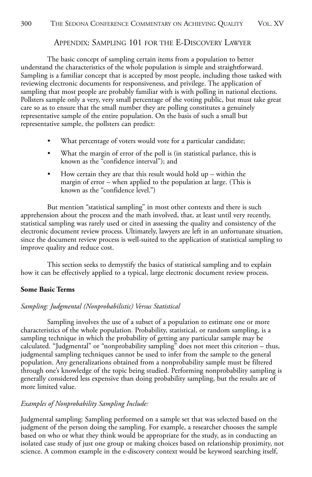#### APPENDIX: SAMPLING 101 FOR THE E-DISCOVERY LAWYER

The basic concept of sampling certain items from a population to better understand the characteristics of the whole population is simple and straightforward. Sampling is a familiar concept that is accepted by most people, including those tasked with reviewing electronic documents for responsiveness, and privilege. The application of sampling that most people are probably familiar with is with polling in national elections. Pollsters sample only a very, very small percentage of the voting public, but must take great care so as to ensure that the small number they are polling constitutes a genuinely representative sample of the entire population. On the basis of such a small but representative sample, the pollsters can predict:

- What percentage of voters would vote for a particular candidate;
- What the margin of error of the poll is (in statistical parlance, this is known as the "confidence interval"); and
- How certain they are that this result would hold  $up$  within the margin of error – when applied to the population at large. (This is known as the "confidence level.")

But mention "statistical sampling" in most other contexts and there is such apprehension about the process and the math involved, that, at least until very recently, statistical sampling was rarely used or cited in assessing the quality and consistency of the electronic document review process. Ultimately, lawyers are left in an unfortunate situation, since the document review process is well-suited to the application of statistical sampling to improve quality and reduce cost.

This section seeks to demystify the basics of statistical sampling and to explain how it can be effectively applied to a typical, large electronic document review process.

#### **Some Basic Terms**

#### *Sampling: Judgmental (Nonprobabilistic) Versus Statistical*

Sampling involves the use of a subset of a population to estimate one or more characteristics of the whole population. Probability, statistical, or random sampling, is a sampling technique in which the probability of getting any particular sample may be calculated. "Judgmental" or "nonprobability sampling" does not meet this criterion – thus, judgmental sampling techniques cannot be used to infer from the sample to the general population. Any generalizations obtained from a nonprobability sample must be filtered through one's knowledge of the topic being studied. Performing nonprobability sampling is generally considered less expensive than doing probability sampling, but the results are of more limited value.

#### *Examples of Nonprobability Sampling Include:*

Judgmental sampling: Sampling performed on a sample set that was selected based on the judgment of the person doing the sampling. For example, a researcher chooses the sample based on who or what they think would be appropriate for the study, as in conducting an isolated case study of just one group or making choices based on relationship proximity, not science. A common example in the e-discovery context would be keyword searching itself,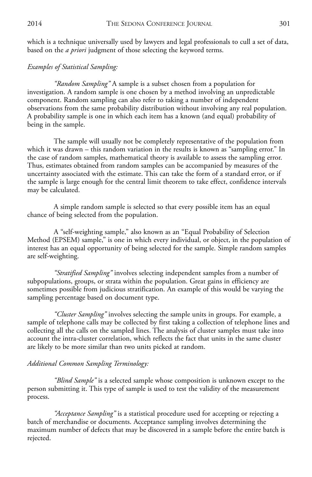which is a technique universally used by lawyers and legal professionals to cull a set of data, based on the *a priori* judgment of those selecting the keyword terms.

#### *Examples of Statistical Sampling:*

*"Random Sampling"* A sample is a subset chosen from a population for investigation. A random sample is one chosen by a method involving an unpredictable component. Random sampling can also refer to taking a number of independent observations from the same probability distribution without involving any real population. A probability sample is one in which each item has a known (and equal) probability of being in the sample.

The sample will usually not be completely representative of the population from which it was drawn – this random variation in the results is known as "sampling error." In the case of random samples, mathematical theory is available to assess the sampling error. Thus, estimates obtained from random samples can be accompanied by measures of the uncertainty associated with the estimate. This can take the form of a standard error, or if the sample is large enough for the central limit theorem to take effect, confidence intervals may be calculated.

A simple random sample is selected so that every possible item has an equal chance of being selected from the population.

A "self-weighting sample," also known as an "Equal Probability of Selection Method (EPSEM) sample," is one in which every individual, or object, in the population of interest has an equal opportunity of being selected for the sample. Simple random samples are self-weighting.

*"Stratified Sampling"* involves selecting independent samples from a number of subpopulations, groups, or strata within the population. Great gains in efficiency are sometimes possible from judicious stratification. An example of this would be varying the sampling percentage based on document type.

*"Cluster Sampling"* involves selecting the sample units in groups. For example, a sample of telephone calls may be collected by first taking a collection of telephone lines and collecting all the calls on the sampled lines. The analysis of cluster samples must take into account the intra-cluster correlation, which reflects the fact that units in the same cluster are likely to be more similar than two units picked at random.

#### *Additional Common Sampling Terminology:*

*"Blind Sample"* is a selected sample whose composition is unknown except to the person submitting it. This type of sample is used to test the validity of the measurement process.

*"Acceptance Sampling"* is a statistical procedure used for accepting or rejecting a batch of merchandise or documents. Acceptance sampling involves determining the maximum number of defects that may be discovered in a sample before the entire batch is rejected.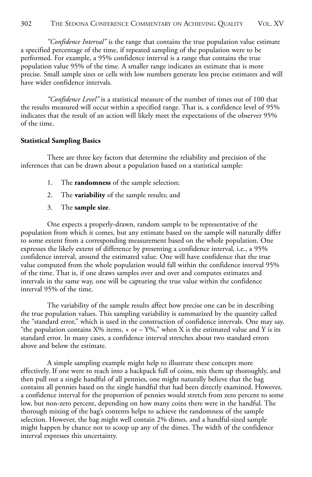*"Confidence Interval"* is the range that contains the true population value estimate a specified percentage of the time, if repeated sampling of the population were to be performed. For example, a 95% confidence interval is a range that contains the true population value 95% of the time. A smaller range indicates an estimate that is more precise. Small sample sizes or cells with low numbers generate less precise estimates and will have wider confidence intervals.

*"Confidence Level"* is a statistical measure of the number of times out of 100 that the results measured will occur within a specified range. That is, a confidence level of 95% indicates that the result of an action will likely meet the expectations of the observer 95% of the time.

#### **Statistical Sampling Basics**

There are three key factors that determine the reliability and precision of the inferences that can be drawn about a population based on a statistical sample:

- 1. The **randomness** of the sample selection;
- 2. The **variability** of the sample results; and
- 3. The **sample size**.

One expects a properly-drawn, random sample to be representative of the population from which it comes, but any estimate based on the sample will naturally differ to some extent from a corresponding measurement based on the whole population. One expresses the likely extent of difference by presenting a confidence interval*,* i.e., a 95% confidence interval, around the estimated value. One will have confidence that the true value computed from the whole population would fall within the confidence interval 95% of the time. That is, if one draws samples over and over and computes estimates and intervals in the same way, one will be capturing the true value within the confidence interval 95% of the time.

The variability of the sample results affect how precise one can be in describing the true population values. This sampling variability is summarized by the quantity called the "standard error," which is used in the construction of confidence intervals. One may say, "the population contains  $X\%$  items, + or –  $Y\%$ ," when X is the estimated value and Y is its standard error. In many cases, a confidence interval stretches about two standard errors above and below the estimate.

A simple sampling example might help to illustrate these concepts more effectively. If one were to reach into a backpack full of coins, mix them up thoroughly, and then pull out a single handful of all pennies, one might naturally believe that the bag contains all pennies based on the single handful that had been directly examined. However, a confidence interval for the proportion of pennies would stretch from zero percent to some low, but non-zero percent, depending on how many coins there were in the handful. The thorough mixing of the bag's contents helps to achieve the randomness of the sample selection. However, the bag might well contain 2% dimes, and a handful-sized sample might happen by chance not to scoop up any of the dimes. The width of the confidence interval expresses this uncertainty.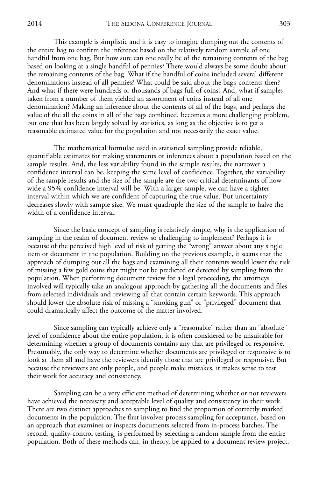This example is simplistic and it is easy to imagine dumping out the contents of the entire bag to confirm the inference based on the relatively random sample of one handful from one bag. But how sure can one really be of the remaining contents of the bag based on looking at a single handful of pennies? There would always be some doubt about the remaining contents of the bag. What if the handful of coins included several different denominations instead of all pennies? What could be said about the bag's contents then? And what if there were hundreds or thousands of bags full of coins? And, what if samples taken from a number of them yielded an assortment of coins instead of all one denomination? Making an inference about the contents of all of the bags, and perhaps the value of the all the coins in all of the bags combined, becomes a more challenging problem, but one that has been largely solved by statistics, as long as the objective is to get a reasonable estimated value for the population and not necessarily the exact value.

The mathematical formulae used in statistical sampling provide reliable, quantifiable estimates for making statements or inferences about a population based on the sample results. And, the less variability found in the sample results, the narrower a confidence interval can be, keeping the same level of confidence. Together, the variability of the sample results and the size of the sample are the two critical determinants of how wide a 95% confidence interval will be. With a larger sample, we can have a tighter interval within which we are confident of capturing the true value. But uncertainty decreases slowly with sample size. We must quadruple the size of the sample to halve the width of a confidence interval.

Since the basic concept of sampling is relatively simple, why is the application of sampling in the realm of document review so challenging to implement? Perhaps it is because of the perceived high level of risk of getting the "wrong" answer about any single item or document in the population. Building on the previous example, it seems that the approach of dumping out all the bags and examining all their contents would lower the risk of missing a few gold coins that might not be predicted or detected by sampling from the population. When performing document review for a legal proceeding, the attorneys involved will typically take an analogous approach by gathering all the documents and files from selected individuals and reviewing all that contain certain keywords. This approach should lower the absolute risk of missing a "smoking gun" or "privileged" document that could dramatically affect the outcome of the matter involved.

Since sampling can typically achieve only a "reasonable" rather than an "absolute" level of confidence about the entire population, it is often considered to be unsuitable for determining whether a group of documents contains any that are privileged or responsive. Presumably, the only way to determine whether documents are privileged or responsive is to look at them all and have the reviewers identify those that are privileged or responsive. But because the reviewers are only people, and people make mistakes, it makes sense to test their work for accuracy and consistency.

Sampling can be a very efficient method of determining whether or not reviewers have achieved the necessary and acceptable level of quality and consistency in their work. There are two distinct approaches to sampling to find the proportion of correctly marked documents in the population. The first involves process sampling for acceptance, based on an approach that examines or inspects documents selected from in-process batches. The second, quality-control testing, is performed by selecting a random sample from the entire population. Both of these methods can, in theory, be applied to a document review project.